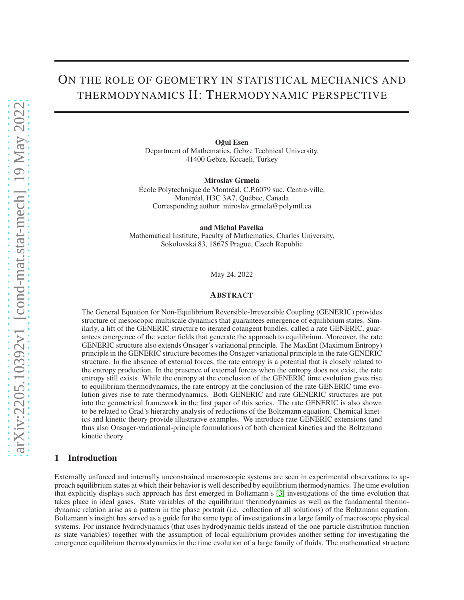# ON THE ROLE OF GEOMETRY IN STATISTICAL MECHANICS AND THERMODYNAMICS II: THERMODYNAMIC PERSPECTIVE

Oğul Esen Department of Mathematics, Gebze Technical University, 41400 Gebze, Kocaeli, Turkey

Miroslav Grmela École Polytechnique de Montréal, C.P.6079 suc. Centre-ville, Montréal, H3C 3A7, Québec, Canada Corresponding author: miroslav.grmela@polymtl.ca

and Michal Pavelka

Mathematical Institute, Faculty of Mathematics, Charles University, Sokolovská 83, 18675 Prague, Czech Republic

May 24, 2022

## ABSTRACT

The General Equation for Non-Equilibrium Reversible-Irreversible Coupling (GENERIC) provides structure of mesoscopic multiscale dynamics that guarantees emergence of equilibrium states. Similarly, a lift of the GENERIC structure to iterated cotangent bundles, called a rate GENERIC, guarantees emergence of the vector fields that generate the approach to equilibrium. Moreover, the rate GENERIC structure also extends Onsager's variational principle. The MaxEnt (Maximum Entropy) principle in the GENERIC structure becomes the Onsager variational principle in the rate GENERIC structure. In the absence of external forces, the rate entropy is a potential that is closely related to the entropy production. In the presence of external forces when the entropy does not exist, the rate entropy still exists. While the entropy at the conclusion of the GENERIC time evolution gives rise to equilibrium thermodynamics, the rate entropy at the conclusion of the rate GENERIC time evolution gives rise to rate thermodynamics. Both GENERIC and rate GENERIC structures are put into the geometrical framework in the first paper of this series. The rate GENERIC is also shown to be related to Grad's hierarchy analysis of reductions of the Boltzmann equation. Chemical kinetics and kinetic theory provide illustrative examples. We introduce rate GENERIC extensions (and thus also Onsager-variational-principle formulations) of both chemical kinetics and the Boltzmann kinetic theory.

## 1 Introduction

Externally unforced and internally unconstrained macroscopic systems are seen in experimental observations to approach equilibrium states at which their behavior is well described by equilibrium thermodynamics. The time evolution that explicitly displays such approach has first emerged in Boltzmann's [\[3\]](#page-20-0) investigations of the time evolution that takes place in ideal gases. State variables of the equilibrium thermodynamics as well as the fundamental thermodynamic relation arise as a pattern in the phase portrait (i.e. collection of all solutions) of the Boltzmann equation. Boltzmann's insight has served as a guide for the same type of investigations in a large family of macroscopic physical systems. For instance hydrodynamics (that uses hydrodynamic fields instead of the one particle distribution function as state variables) together with the assumption of local equilibrium provides another setting for investigating the emergence equilibrium thermodynamics in the time evolution of a large family of fluids. The mathematical structure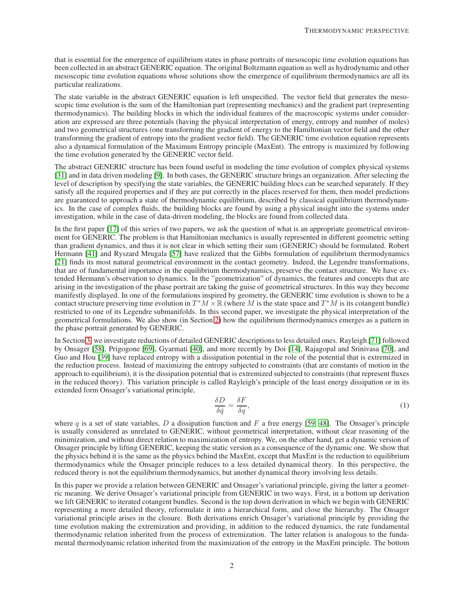that is essential for the emergence of equilibrium states in phase portraits of mesoscopic time evolution equations has been collected in an abstract GENERIC equation. The original Boltzmann equation as well as hydrodynamic and other mesoscopic time evolution equations whose solutions show the emergence of equilibrium thermodynamics are all its particular realizations.

The state variable in the abstract GENERIC equation is left unspecified. The vector field that generates the mesoscopic time evolution is the sum of the Hamiltonian part (representing mechanics) and the gradient part (representing thermodynamics). The building blocks in which the individual features of the macroscopic systems under consideration are expressed are three potentials (having the physical interpretation of energy, entropy and number of moles) and two geometrical structures (one transforming the gradient of energy to the Hamiltonian vector field and the other transforming the gradient of entropy into the gradient vector field). The GENERIC time evolution equation represents also a dynamical formulation of the Maximum Entropy principle (MaxEnt). The entropy is maximized by following the time evolution generated by the GENERIC vector field.

The abstract GENERIC structure has been found useful in modeling the time evolution of complex physical systems [\[31\]](#page-21-0) and in data driven modeling [\[9\]](#page-21-1). In both cases, the GENERIC structure brings an organization. After selecting the level of description by specifying the state variables, the GENERIC building blocs can be searched separately. If they satisfy all the required properties and if they are put correctly in the places reserved for them, then model predictions are guaranteed to approach a state of thermodynamic equilibrium, described by classical equilibrium thermodynamics. In the case of complex fluids, the building blocks are found by using a physical insight into the systems under investigation, while in the case of data-driven modeling, the blocks are found from collected data.

In the first paper [\[17\]](#page-21-2) of this series of two papers, we ask the question of what is an appropriate geometrical environment for GENERIC. The problem is that Hamiltonian mechanics is usually represented in different geometric setting than gradient dynamics, and thus it is not clear in which setting their sum (GENERIC) should be formulated. Robert Hermann [\[41\]](#page-22-0) and Ryszard Mrugala [\[57\]](#page-22-1) have realized that the Gibbs formulation of equilibrium thermodynamics [\[21\]](#page-21-3) finds its most natural geometrical environment in the contact geometry. Indeed, the Legendre transformations, that are of fundamental importance in the equilibrium thermodynamics, preserve the contact structure. We have extended Hermann's observation to dynamics. In the "geometrization" of dynamics, the features and concepts that are arising in the investigation of the phase portrait are taking the guise of geometrical structures. In this way they become manifestly displayed. In one of the formulations inspired by geometry, the GENERIC time evolution is shown to be a contact structure preserving time evolution in  $T^*M \times \mathbb{R}$  (where M is the state space and  $T^*M$  is its cotangent bundle) restricted to one of its Legendre submanifolds. In this second paper, we investigate the physical interpretation of the geometrical formulations. We also show (in Section [2\)](#page-2-0) how the equilibrium thermodynamics emerges as a pattern in the phase portrait generated by GENERIC.

In Section [3,](#page-8-0) we investigate reductions of detailed GENERIC descriptions to less detailed ones. Rayleigh [\[71\]](#page-23-0) followed by Onsager [\[58\]](#page-22-2), Prigogone [\[69\]](#page-23-1), Gyarmati [\[40\]](#page-22-3), and more recently by Doi [\[14\]](#page-21-4), Rajagopal and Srinivasa [\[70\]](#page-23-2), and Guo and Hou [\[39\]](#page-22-4) have replaced entropy with a dissipation potential in the role of the potential that is extremized in the reduction process. Instead of maximizing the entropy subjected to constraints (that are constants of motion in the approach to equilibrium), it is the dissipation potential that is extremized subjected to constraints (that represent fluxes in the reduced theory). This variation principle is called Rayleigh's principle of the least energy dissipation or in its extended form Onsager's variational principle,

$$
\frac{\delta D}{\delta \dot{q}} = \frac{\delta F}{\delta q},\tag{1}
$$

where q is a set of state variables, D a dissipation function and F a free energy [\[59,](#page-22-5) [48\]](#page-22-6). The Onsager's principle is usually considered as unrelated to GENERIC, without geometrical interpretation, without clear reasoning of the minimization, and without direct relation to maximization of entropy. We, on the other hand, get a dynamic version of Onsager principle by lifting GENERIC, keeping the static version as a consequence of the dynamic one. We show that the physics behind it is the same as the physics behind the MaxEnt, except that MaxEnt is the reduction to equilibrium thermodynamics while the Onsager principle reduces to a less detailed dynamical theory. In this perspective, the reduced theory is not the equilibrium thermodynamics, but another dynamical theory involving less details.

In this paper we provide a relation between GENERIC and Onsager's variational principle, giving the latter a geometric meaning. We derive Onsager's variational principle from GENERIC in two ways. First, in a bottom up derivation we lift GENERIC to iterated cotangent bundles. Second is the top down derivation in which we begin with GENERIC representing a more detailed theory, reformulate it into a hierarchical form, and close the hierarchy. The Onsager variational principle arises in the closure. Both derivations enrich Onsager's variational principle by providing the time evolution making the extremization and providing, in addition to the reduced dynamics, the rate fundamental thermodynamic relation inherited from the process of extremization. The latter relation is analogous to the fundamental thermodynamic relation inherited from the maximization of the entropy in the MaxEnt principle. The bottom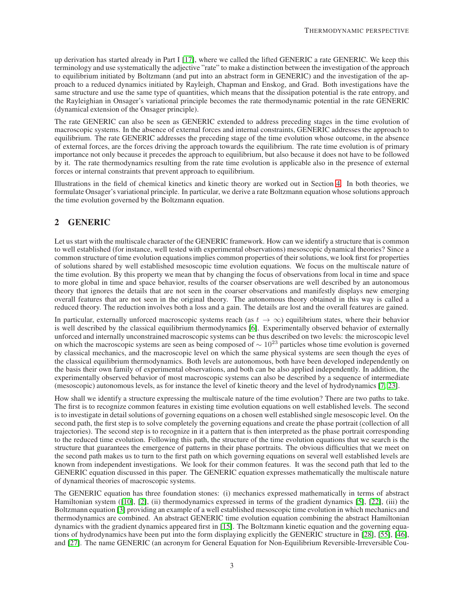up derivation has started already in Part I [\[17\]](#page-21-2), where we called the lifted GENERIC a rate GENERIC. We keep this terminology and use systematically the adjective "rate" to make a distinction between the investigation of the approach to equilibrium initiated by Boltzmann (and put into an abstract form in GENERIC) and the investigation of the approach to a reduced dynamics initiated by Rayleigh, Chapman and Enskog, and Grad. Both investigations have the same structure and use the same type of quantities, which means that the dissipation potential is the rate entropy, and the Rayleighian in Onsager's variational principle becomes the rate thermodynamic potential in the rate GENERIC (dynamical extension of the Onsager principle).

The rate GENERIC can also be seen as GENERIC extended to address preceding stages in the time evolution of macroscopic systems. In the absence of external forces and internal constraints, GENERIC addresses the approach to equilibrium. The rate GENERIC addresses the preceding stage of the time evolution whose outcome, in the absence of external forces, are the forces driving the approach towards the equilibrium. The rate time evolution is of primary importance not only because it precedes the approach to equilibrium, but also because it does not have to be followed by it. The rate thermodynamics resulting from the rate time evolution is applicable also in the presence of external forces or internal constraints that prevent approach to equilibrium.

Illustrations in the field of chemical kinetics and kinetic theory are worked out in Section [4.](#page-16-0) In both theories, we formulate Onsager's variational principle. In particular, we derive a rate Boltzmann equation whose solutions approach the time evolution governed by the Boltzmann equation.

# <span id="page-2-0"></span>2 GENERIC

Let us start with the multiscale character of the GENERIC framework. How can we identify a structure that is common to well established (for instance, well tested with experimental observations) mesoscopic dynamical theories? Since a common structure of time evolution equations implies common properties of their solutions, we look first for properties of solutions shared by well established mesoscopic time evolution equations. We focus on the multiscale nature of the time evolution. By this property we mean that by changing the focus of observations from local in time and space to more global in time and space behavior, results of the coarser observations are well described by an autonomous theory that ignores the details that are not seen in the coarser observations and manifestly displays new emerging overall features that are not seen in the original theory. The autonomous theory obtained in this way is called a reduced theory. The reduction involves both a loss and a gain. The details are lost and the overall features are gained.

In particular, externally unforced macroscopic systems reach (as  $t \to \infty$ ) equilibrium states, where their behavior is well described by the classical equilibrium thermodynamics [\[6\]](#page-20-1). Experimentally observed behavior of externally unforced and internally unconstrained macroscopic systems can be thus described on two levels: the microscopic level on which the macroscopic systems are seen as being composed of  $\sim 10^{23}$  particles whose time evolution is governed by classical mechanics, and the macroscopic level on which the same physical systems are seen though the eyes of the classical equilibrium thermodynamics. Both levels are autonomous, both have been developed independently on the basis their own family of experimental observations, and both can be also applied independently. In addition, the experimentally observed behavior of most macroscopic systems can also be described by a sequence of intermediate (mesoscopic) autonomous levels, as for instance the level of kinetic theory and the level of hydrodynamics [\[7,](#page-20-2) [23\]](#page-21-5).

How shall we identify a structure expressing the multiscale nature of the time evolution? There are two paths to take. The first is to recognize common features in existing time evolution equations on well established levels. The second is to investigate in detail solutions of governing equations on a chosen well established single mesoscopic level. On the second path, the first step is to solve completely the governing equations and create the phase portrait (collection of all trajectories). The second step is to recognize in it a pattern that is then interpreted as the phase portrait corresponding to the reduced time evolution. Following this path, the structure of the time evolution equations that we search is the structure that guarantees the emergence of patterns in their phase portraits. The obvious difficulties that we meet on the second path makes us to turn to the first path on which governing equations on several well established levels are known from independent investigations. We look for their common features. It was the second path that led to the GENERIC equation discussed in this paper. The GENERIC equation expresses mathematically the multiscale nature of dynamical theories of macroscopic systems.

The GENERIC equation has three foundation stones: (i) mechanics expressed mathematically in terms of abstract Hamiltonian system ([\[10\]](#page-21-6), [\[2\]](#page-20-3), (ii) thermodynamics expressed in terms of the gradient dynamics [\[5\]](#page-20-4), [\[22\]](#page-21-7), (iii) the Boltzmann equation [\[3\]](#page-20-0) providing an example of a well established mesoscopic time evolution in which mechanics and thermodynamics are combined. An abstract GENERIC time evolution equation combining the abstract Hamiltonian dynamics with the gradient dynamics appeared first in [\[15\]](#page-21-8). The Boltzmann kinetic equation and the governing equations of hydrodynamics have been put into the form displaying explicitly the GENERIC structure in [\[28\]](#page-21-9), [\[55\]](#page-22-7), [\[46\]](#page-22-8), and [\[27\]](#page-21-10). The name GENERIC (an acronym for General Equation for Non-Equilibrium Reversible-Irreversible Cou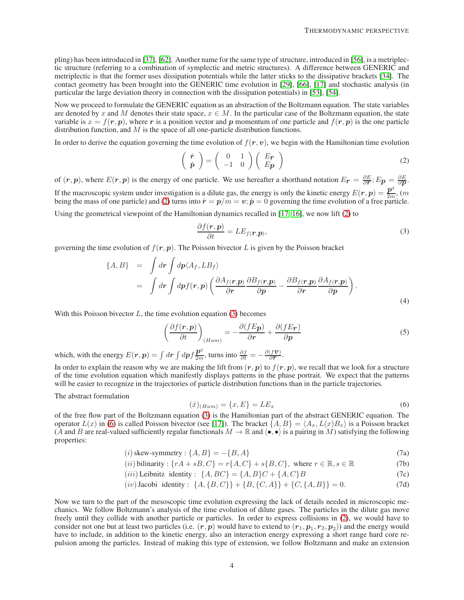pling) has been introduced in [\[37\]](#page-21-11), [\[62\]](#page-22-9). Another name for the same type of structure, introduced in [\[56\]](#page-22-10), is a metriplectic structure (referring to a combination of symplectic and metric structures). A difference between GENERIC and metriplectic is that the former uses dissipation potentials while the latter sticks to the dissipative brackets [\[34\]](#page-21-12). The contact geometry has been brought into the GENERIC time evolution in [\[29\]](#page-21-13), [\[66\]](#page-22-11), [\[17\]](#page-21-2) and stochastic analysis (in particular the large deviation theory in connection with the dissipation potentials) in [\[53\]](#page-22-12), [\[54\]](#page-22-13).

Now we proceed to formulate the GENERIC equation as an abstraction of the Boltzmann equation. The state variables are denoted by x and M denotes their state space,  $x \in M$ . In the particular case of the Boltzmann equation, the state variable is  $x = f(r, p)$ , where r is a position vector and p momentum of one particle and  $f(r, p)$  is the one particle distribution function, and  $M$  is the space of all one-particle distribution functions.

In order to derive the equation governing the time evolution of  $f(r, v)$ , we begin with the Hamiltonian time evolution

<span id="page-3-0"></span>
$$
\begin{pmatrix}\n\dot{\mathbf{r}} \\
\dot{\mathbf{p}}\n\end{pmatrix} = \begin{pmatrix}\n0 & 1 \\
-1 & 0\n\end{pmatrix} \begin{pmatrix}\nEr \\
Ep\n\end{pmatrix}
$$
\n(2)

of  $(r, p)$ , where  $E(r, p)$  is the energy of one particle. We use hereafter a shorthand notation  $E_r = \frac{\partial E}{\partial r}$ ;  $E_p = \frac{\partial E}{\partial p}$ . If the macroscopic system under investigation is a dilute gas, the energy is only the kinetic energy  $E(r, p) = \frac{p^2}{2m}$ ,  $(m - p)$ being the mass of one particle) and [\(2\)](#page-3-0) turns into  $\dot{\mathbf{r}} = \mathbf{p}/m = \mathbf{v}; \dot{\mathbf{p}} = 0$  governing the time evolution of a free particle. Using the geometrical viewpoint of the Hamiltonian dynamics recalled in [\[17,](#page-21-2) [16\]](#page-21-14), we now lift [\(2\)](#page-3-0) to

<span id="page-3-1"></span>
$$
\frac{\partial f(\mathbf{r}, \mathbf{p})}{\partial t} = LE_{f(\mathbf{r}, \mathbf{p})},\tag{3}
$$

governing the time evolution of  $f(r, p)$ . The Poisson bivector L is given by the Poisson bracket

$$
\{A, B\} = \int dr \int dp \langle A_f, L B_f \rangle
$$
  
= 
$$
\int dr \int dp f(r, p) \left( \frac{\partial A_f(r, p)}{\partial r} \frac{\partial B_f(r, p)}{\partial p} - \frac{\partial B_f(r, p)}{\partial r} \frac{\partial A_f(r, p)}{\partial p} \right).
$$
 (4)

With this Poisson bivector  $L$ , the time evolution equation [\(3\)](#page-3-1) becomes

$$
\left(\frac{\partial f(\mathbf{r}, \mathbf{p})}{\partial t}\right)_{(Ham)} = -\frac{\partial (fEp)}{\partial \mathbf{r}} + \frac{\partial (fEr)}{\partial \mathbf{p}} \tag{5}
$$

which, with the energy  $E(r, p) = \int dr \int dp f \frac{p^2}{2m}$ , turns into  $\frac{\partial f}{\partial t} = -\frac{\partial (fv)}{\partial r}$  $\frac{\langle J\bm{\mathit{v}}\rangle}{\partial \bm{r}}.$ 

In order to explain the reason why we are making the lift from  $(r, p)$  to  $f(r, p)$ , we recall that we look for a structure of the time evolution equation which manifestly displays patterns in the phase portrait. We expect that the patterns will be easier to recognize in the trajectories of particle distribution functions than in the particle trajectories.

The abstract formulation

<span id="page-3-2"></span>
$$
(\dot{x})_{(Ham)} = \{x, E\} = LE_x \tag{6}
$$

of the free flow part of the Boltzmann equation [\(3\)](#page-3-1) is the Hamiltonian part of the abstract GENERIC equation. The operator  $L(x)$  in [\(6\)](#page-3-2) is called Poisson bivector (see [\[17\]](#page-21-2)). The bracket  $\{A, B\} = \langle A_x, L(x)B_x \rangle$  is a Poisson bracket (A and B are real-valued sufficiently regular functionals  $M \to \mathbb{R}$  and  $\langle \bullet, \bullet \rangle$  is a pairing in M) satisfying the following properties:

$$
(i) skew-symmetry: \{A, B\} = -\{B, A\}
$$
\n
$$
(7a)
$$

(*ii*) **bilinearity** : 
$$
\{rA + sB, C\} = r\{A, C\} + s\{B, C\}
$$
, where  $r \in \mathbb{R}, s \in \mathbb{R}$  (7b)

(*iii*) Leibnitz identity :  $\{A, BC\} = \{A, B\}C + \{A, C\}B$  (7c)

$$
(iv) Jacobi identity: \{A, \{B, C\}\} + \{B, \{C, A\}\} + \{C, \{A, B\}\} = 0.
$$
\n(7d)

Now we turn to the part of the mesoscopic time evolution expressing the lack of details needed in microscopic mechanics. We follow Boltzmann's analysis of the time evolution of dilute gases. The particles in the dilute gas move freely until they collide with another particle or particles. In order to express collisions in [\(2\)](#page-3-0), we would have to consider not one but at least two particles (i.e.  $(r,p)$  would have to extend to  $(r_1,p_1,r_2,p_2))$  and the energy would have to include, in addition to the kinetic energy, also an interaction energy expressing a short range hard core repulsion among the particles. Instead of making this type of extension, we follow Boltzmann and make an extension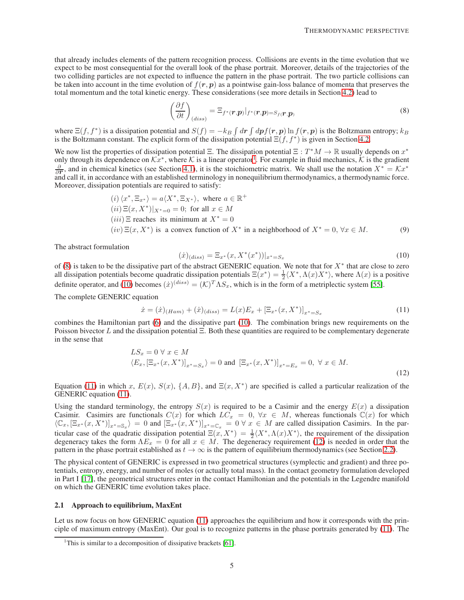that already includes elements of the pattern recognition process. Collisions are events in the time evolution that we expect to be most consequential for the overall look of the phase portrait. Moreover, details of the trajectories of the two colliding particles are not expected to influence the pattern in the phase portrait. The two particle collisions can be taken into account in the time evolution of  $f(r, p)$  as a pointwise gain-loss balance of momenta that preserves the total momentum and the total kinetic energy. These considerations (see more details in Section [4.2\)](#page-18-0) lead to

<span id="page-4-1"></span>
$$
\left(\frac{\partial f}{\partial t}\right)_{(diss)} = \Xi_{f^*(\boldsymbol{r},\boldsymbol{p})}|_{f^*(\boldsymbol{r},\boldsymbol{p})=S_{f(\boldsymbol{r},\boldsymbol{p})}}
$$
(8)

where  $\Xi(f, f^*)$  is a dissipation potential and  $S(f) = -k_B \int dr \int dp f(r, p) \ln f(r, p)$  is the Boltzmann entropy;  $k_B$ is the Boltzmann constant. The explicit form of the dissipation potential  $\Xi(f, f^*)$  is given in Section [4.2.](#page-18-0)

We now list the properties of dissipation potential  $\Xi$ . The dissipation potential  $\Xi : T^*M \to \mathbb{R}$  usually depends on  $x^*$ only through its dependence on  $\mathcal{K}x^*$ , where  $\mathcal K$  is a linear operator<sup>[1](#page-4-0)</sup>. For example in fluid mechanics,  $\mathcal K$  is the gradient  $\frac{\partial}{\partial r}$ , and in chemical kinetics (see Section [4.1\)](#page-16-1), it is the stoichiometric matrix. We shall use the notation  $X^* = \mathcal{K}x^*$ and call it, in accordance with an established terminology in nonequilibrium thermodynamics, a thermodynamic force. Moreover, dissipation potentials are required to satisfy:

<span id="page-4-5"></span>\n- (i) 
$$
\langle x^*, \Xi_{x^*} \rangle = a \langle X^*, \Xi_{X^*} \rangle
$$
, where  $a \in \mathbb{R}^+$
\n- (ii)  $\Xi(x, X^*)|_{X^* = 0} = 0$ ; for all  $x \in M$
\n- (iii)  $\Xi$  reaches its minimum at  $X^* = 0$
\n- (iv)  $\Xi(x, X^*)$  is a convex function of  $X^*$  in a neighborhood of  $X^* = 0$ ,  $\forall x \in M$ .
\n

The abstract formulation

<span id="page-4-2"></span>
$$
(\dot{x})_{(diss)} = \Xi_{x^*}(x, X^*(x^*))|_{x^*=S_x}
$$
\n(10)

of [\(8\)](#page-4-1) is taken to be the dissipative part of the abstract GENERIC equation. We note that for  $X^*$  that are close to zero all dissipation potentials become quadratic dissipation potentials  $\Xi(x^*) = \frac{1}{2} \langle X^*, \Lambda(x) X^* \rangle$ , where  $\Lambda(x)$  is a positive definite operator, and [\(10\)](#page-4-2) becomes  $(\dot{x})^{(diss)} = (K)^T \Lambda S_x$ , which is in the form of a metriplectic system [\[55\]](#page-22-7).

The complete GENERIC equation

<span id="page-4-3"></span>
$$
\dot{x} = (\dot{x})_{(Ham)} + (\dot{x})_{(diss)} = L(x)E_x + [\Xi_{x^*}(x, X^*)]_{x^* = S_x}
$$
\n(11)

combines the Hamiltonian part [\(6\)](#page-3-2) and the dissipative part [\(10\)](#page-4-2). The combination brings new requirements on the Poisson bivector L and the dissipation potential Ξ. Both these quantities are required to be complementary degenerate in the sense that

<span id="page-4-4"></span>
$$
LS_x = 0 \,\forall \, x \in M
$$
  

$$
\langle E_x, [\Xi_{x^*}(x, X^*)]_{x^* = S_x} \rangle = 0 \text{ and } [\Xi_{x^*}(x, X^*)]_{x^* = E_x} = 0, \,\forall \, x \in M.
$$
 (12)

Equation [\(11\)](#page-4-3) in which x,  $E(x)$ ,  $S(x)$ ,  $\{A, B\}$ , and  $E(x, X^*)$  are specified is called a particular realization of the GENERIC equation [\(11\)](#page-4-3).

Using the standard terminology, the entropy  $S(x)$  is required to be a Casimir and the energy  $E(x)$  a dissipation Casimir. Casimirs are functionals  $C(x)$  for which  $LC_x = 0$ ,  $\forall x \in M$ , whereas functionals  $\mathbb{C}(x)$  for which  $\langle \mathbb{C}_x, [\Xi_{x^*}(x,X^*)]_{x^*=\mathbb{S}_x} \rangle = 0$  and  $[\Xi_{x^*}(x,X^*)]_{x^*=\mathbb{C}_x} = 0 \forall x \in M$  are called dissipation Casimirs. In the particular case of the quadratic dissipation potential  $\Xi(x, X^*) = \frac{1}{2} \langle X^*, \Lambda(x) X^* \rangle$ , the requirement of the dissipation degeneracy takes the form  $\Lambda E_x = 0$  for all  $x \in M$ . The degeneracy requirement [\(12\)](#page-4-4) is needed in order that the pattern in the phase portrait established as  $t \to \infty$  is the pattern of equilibrium thermodynamics (see Section [2.2\)](#page-6-0).

The physical content of GENERIC is expressed in two geometrical structures (symplectic and gradient) and three potentials, entropy, energy, and number of moles (or actually total mass). In the contact geometry formulation developed in Part I [\[17\]](#page-21-2), the geometrical structures enter in the contact Hamiltonian and the potentials in the Legendre manifold on which the GENERIC time evolution takes place.

#### <span id="page-4-6"></span>2.1 Approach to equilibrium, MaxEnt

Let us now focus on how GENERIC equation [\(11\)](#page-4-3) approaches the equilibrium and how it corresponds with the principle of maximum entropy (MaxEnt). Our goal is to recognize patterns in the phase portraits generated by [\(11\)](#page-4-3). The

<span id="page-4-0"></span><sup>&</sup>lt;sup>1</sup>This is similar to a decomposition of dissipative brackets [\[61\]](#page-22-14).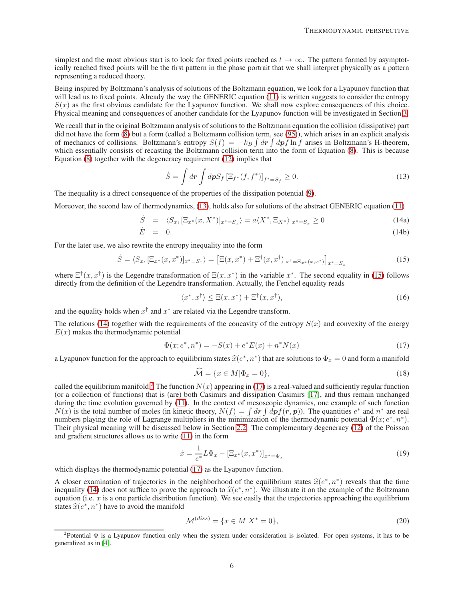simplest and the most obvious start is to look for fixed points reached as  $t \to \infty$ . The pattern formed by asymptotically reached fixed points will be the first pattern in the phase portrait that we shall interpret physically as a pattern representing a reduced theory.

Being inspired by Boltzmann's analysis of solutions of the Boltzmann equation, we look for a Lyapunov function that will lead us to fixed points. Already the way the GENERIC equation [\(11\)](#page-4-3) is written suggests to consider the entropy  $S(x)$  as the first obvious candidate for the Lyapunov function. We shall now explore consequences of this choice. Physical meaning and consequences of another candidate for the Lyapunov function will be investigated in Section [3.](#page-8-0)

We recall that in the original Boltzmann analysis of solutions to the Boltzmann equation the collision (dissipative) part did not have the form [\(8\)](#page-4-1) but a form (called a Boltzmann collision term, see [\(95\)](#page-19-0)), which arises in an explicit analysis of mechanics of collisions. Boltzmann's entropy  $S(f) = -k_B \int dr \int dp f \ln f$  arises in Boltzmann's H-theorem, which essentially consists of recasting the Boltzmann collision term into the form of Equation [\(8\)](#page-4-1). This is because Equation [\(8\)](#page-4-1) together with the degeneracy requirement [\(12\)](#page-4-4) implies that

<span id="page-5-0"></span>
$$
\dot{S} = \int dr \int dp S_f \left[ \Xi_{f^*}(f, f^*) \right]_{f^* = S_f} \ge 0. \tag{13}
$$

The inequality is a direct consequence of the properties of the dissipation potential [\(9\)](#page-4-5).

Moreover, the second law of thermodynamics, [\(13\)](#page-5-0), holds also for solutions of the abstract GENERIC equation [\(11\)](#page-4-3)

$$
\dot{S} = \langle S_x, [\Xi_{x^*}(x, X^*)]_{x^* = S_x} \rangle = a \langle X^*, \Xi_{X^*} \rangle |_{x^* = S_x} \ge 0 \tag{14a}
$$

$$
\dot{E} = 0. \tag{14b}
$$

For the later use, we also rewrite the entropy inequality into the form

<span id="page-5-1"></span>
$$
\dot{S} = \langle S_x, [\Xi_{x^*}(x, x^*)]_{x^* = S_x} \rangle = [\Xi(x, x^*) + \Xi^{\dagger}(x, x^{\dagger})]_{x^{\dagger} = \Xi_{x^*}(x, x^*)}]_{x^* = S_x}
$$
(15)

where  $\Xi^{\dagger}(x, x^{\dagger})$  is the Legendre transformation of  $\Xi(x, x^*)$  in the variable  $x^*$ . The second equality in [\(15\)](#page-5-1) follows directly from the definition of the Legendre transformation. Actually, the Fenchel equality reads

<span id="page-5-7"></span><span id="page-5-2"></span>
$$
\langle x^*, x^\dagger \rangle \le \Xi(x, x^*) + \Xi^\dagger(x, x^\dagger), \tag{16}
$$

and the equality holds when  $x^{\dagger}$  and  $x^*$  are related via the Legendre transform.

The relations [\(14\)](#page-5-2) together with the requirements of the concavity of the entropy  $S(x)$  and convexity of the energy  $E(x)$  makes the thermodynamic potential

<span id="page-5-4"></span>
$$
\Phi(x; e^*, n^*) = -S(x) + e^* E(x) + n^* N(x) \tag{17}
$$

a Lyapunov function for the approach to equilibrium states  $\hat{x}(e^*, n^*)$  that are solutions to  $\Phi_x = 0$  and form a manifold

<span id="page-5-5"></span>
$$
\widehat{\mathcal{M}} = \{ x \in M | \Phi_x = 0 \},\tag{18}
$$

called the equilibrium manifold.<sup>[2](#page-5-3)</sup> The function  $N(x)$  appearing in [\(17\)](#page-5-4) is a real-valued and sufficiently regular function (or a collection of functions) that is (are) both Casimirs and dissipation Casimirs [\[17\]](#page-21-2), and thus remain unchanged during the time evolution governed by [\(11\)](#page-4-3). In the context of mesoscopic dynamics, one example of such function  $N(x)$  is the total number of moles (in kinetic theory,  $N(f) = \int dr \int dp f(r, p)$ ). The quantities  $e^*$  and  $n^*$  are real numbers playing the role of Lagrange multipliers in the minimization of the thermodynamic potential  $\Phi(x; e^*, n^*)$ . Their physical meaning will be discussed below in Section [2.2.](#page-6-0) The complementary degeneracy [\(12\)](#page-4-4) of the Poisson and gradient structures allows us to write [\(11\)](#page-4-3) in the form

<span id="page-5-6"></span>
$$
\dot{x} = \frac{1}{e^*} L \Phi_x - [\Xi_{x^*}(x, x^*)]_{x^* = \Phi_x} \tag{19}
$$

which displays the thermodynamic potential [\(17\)](#page-5-4) as the Lyapunov function.

A closer examination of trajectories in the neighborhood of the equilibrium states  $\hat{x}(e^*, n^*)$  reveals that the time<br>inequality (14) does not suffice to prove the approach to  $\hat{x}(e^*, n^*)$ . We illustrate it on the example inequality [\(14\)](#page-5-2) does not suffice to prove the approach to  $\hat{x}(e^*, n^*)$ . We illustrate it on the example of the Boltzmann equation (i.e.  $x$  is a one perticle distribution function). We see easily that the trajectories app equation (i.e.  $x$  is a one particle distribution function). We see easily that the trajectories approaching the equilibrium states  $\hat{x}(e^*, n^*)$  have to avoid the manifold

$$
\mathcal{M}^{(diss)} = \{ x \in M | X^* = 0 \},\tag{20}
$$

<span id="page-5-3"></span><sup>&</sup>lt;sup>2</sup>Potential  $\Phi$  is a Lyapunov function only when the system under consideration is isolated. For open systems, it has to be generalized as in [\[4\]](#page-20-5).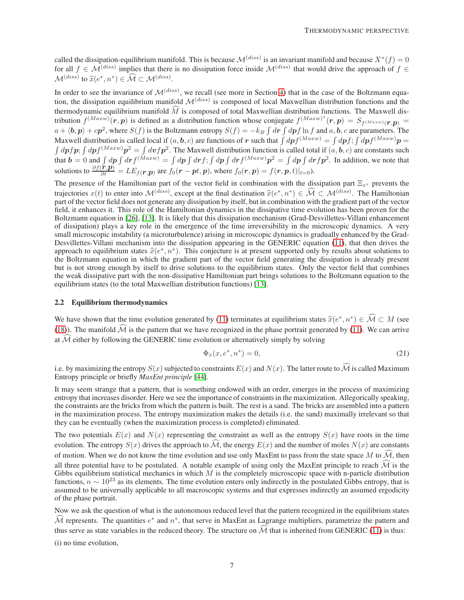called the dissipation-equilibrium manifold. This is because  $\mathcal{M}^{(diss)}$  is an invariant manifold and because  $X^*(f) = 0$ for all  $f \in \mathcal{M}^{(diss)}$  implies that there is no dissipation force inside  $\mathcal{M}^{(diss)}$  that would drive the approach of  $f \in$  $\mathcal{M}^{(diss)}$  to  $\widehat{x}(e^*, n^*) \in \widehat{\mathcal{M}} \subset \mathcal{M}^{(diss)}$ .

In order to see the invariance of  $\mathcal{M}^{(diss)}$ , we recall (see more in Section [4\)](#page-16-0) that in the case of the Boltzmann equation, the dissipation equilibrium manifold  $\mathcal{M}^{(diss)}$  is composed of local Maxwellian distribution functions and the thermodynamic equilibrium manifold  $\widehat{M}$  is composed of total Maxwellian distribution functions. The Maxwell distribution  $f^{(Maxw)}(\mathbf{r}, \mathbf{p})$  is defined as a distribution function whose conjugate  $f^{(Maxw)^*}(\mathbf{r}, \mathbf{p}) = S_{f^{(Maxw)}(\mathbf{r}, \mathbf{p})}$  $a + \langle b, p \rangle + c p^2$ , where  $S(f)$  is the Boltzmann entropy  $S(f) = -k_B \int dr \int dp f \ln f$  and  $a, b, c$  are parameters. The Maxwell distribution is called local if  $(a, b, c)$  are functions of r such that  $\int dp f^{(Maxw)} = \int dp f$ ;  $\int dp f^{(Maxw)} p =$  $\int dp f p$ ;  $\int dp f^{(Maxw)} p^2 = \int dv f p^2$ . The Maxwell distribution function is called total if  $(a, b, c)$  are constants such that  $b = 0$  and  $\int dp \int dr f^{(Maxw)} = \int dp \int dr f$ ;  $\int dp \int dr f^{(Maxw)} p^2 = \int dp \int dr f p^2$ . In addition, we note that solutions to  $\frac{\partial f(\vec{r}, \vec{p})}{\partial t} = LE_{f(\vec{r}, \vec{p})}$  are  $f_0(\vec{r} - pt, \vec{p})$ , where  $f_0(\vec{r}, \vec{p}) = f(\vec{r}, \vec{p}, t)|_{t=0}$ ).

The presence of the Hamiltonian part of the vector field in combination with the dissipation part  $\Xi_{x^*}$  prevents the trajectories  $x(t)$  to enter into  $\mathcal{M}^{(diss)}$ , except at the final destination  $\hat{x}(e^*, n^*) \in \mathcal{M} \subset \mathcal{M}^{(diss)}$ . The Hamiltonian part of the vector field does not generate any dissipation by itself, but in combination with the gradient part of the vector field, it enhances it. This role of the Hamiltonian dynamics in the dissipative time evolution has been proven for the Boltzmann equation in [\[26\]](#page-21-15), [\[13\]](#page-21-16). It is likely that this dissipation mechanism (Grad-Desvillettes-Villani enhancement of dissipation) plays a key role in the emergence of the time irreversibility in the microscopic dynamics. A very small microscopic instability (a microturbulence) arising in microscopic dynamics is gradually enhanced by the Grad-Desvillettes-Villani mechanism into the dissipation appearing in the GENERIC equation [\(11\)](#page-4-3), that then drives the approach to equilibrium states  $\hat{x}(e^*, n^*)$ . This conjecture is at present supported only by results about solutions to the Poltzmann counting in which the gradient part of the vector field concreting the discipation is c the Boltzmann equation in which the gradient part of the vector field generating the dissipation is already present but is not strong enough by itself to drive solutions to the equilibrium states. Only the vector field that combines the weak dissipative part with the non-dissipative Hamiltonian part brings solutions to the Boltzmann equation to the equilibrium states (to the total Maxwellian distribution functions) [\[13\]](#page-21-16).

#### <span id="page-6-0"></span>2.2 Equilibrium thermodynamics

We have shown that the time evolution generated by [\(11\)](#page-4-3) terminates at equilibrium states  $\hat{x}(e^*, n^*) \in \mathcal{M} \subset M$  (see [\(18\)](#page-5-5)). The manifold  $\widehat{\mathcal{M}}$  is the pattern that we have recognized in the phase portrait generated by [\(11\)](#page-4-3). We can arrive at  $\widehat{\mathcal{M}}$  either by following the GENERIC time evolution or alternatively simply by solving

$$
\Phi_x(x, e^*, n^*) = 0,\t(21)
$$

i.e. by maximizing the entropy  $S(x)$  subjected to constraints  $E(x)$  and  $N(x)$ . The latter route to  $\widehat{\mathcal{M}}$  is called Maximum Entropy principle or briefly *MaxEnt principle* [\[44\]](#page-22-15).

It may seem strange that a pattern, that is something endowed with an order, emerges in the process of maximizing entropy that increases disorder. Here we see the importance of constraints in the maximization. Allegorically speaking, the constraints are the bricks from which the pattern is built. The rest is a sand. The bricks are assembled into a pattern in the maximization process. The entropy maximization makes the details (i.e. the sand) maximally irrelevant so that they can be eventually (when the maximization process is completed) eliminated.

The two potentials  $E(x)$  and  $N(x)$  representing the constraint as well as the entropy  $S(x)$  have roots in the time evolution. The entropy  $S(x)$  drives the approach to  $\mathcal M$ , the energy  $E(x)$  and the number of moles  $N(x)$  are constants of motion. When we do not know the time evolution and use only MaxEnt to pass from the state space M to  $\mathcal{M}$ , then all three potential have to be postulated. A notable example of using only the MaxEnt principle to reach  $\widehat{\mathcal{M}}$  is the Gibbs equilibrium statistical mechanics in which  $M$  is the completely microscopic space with n-particle distribution functions,  $n \sim 10^{23}$  as its elements. The time evolution enters only indirectly in the postulated Gibbs entropy, that is assumed to be universally applicable to all macroscopic systems and that expresses indirectly an assumed ergodicity of the phase portrait.

Now we ask the question of what is the autonomous reduced level that the pattern recognized in the equilibrium states  $\widehat{\mathcal{M}}$  represents. The quantities  $e^*$  and  $n^*$ , that serve in MaxEnt as Lagrange multipliers, parametrize the pattern and thus serve as state variables in the reduced theory. The structure on  $\widehat{M}$  that is inherited from GENERIC [\(11\)](#page-4-3) is thus:

(i) no time evolution,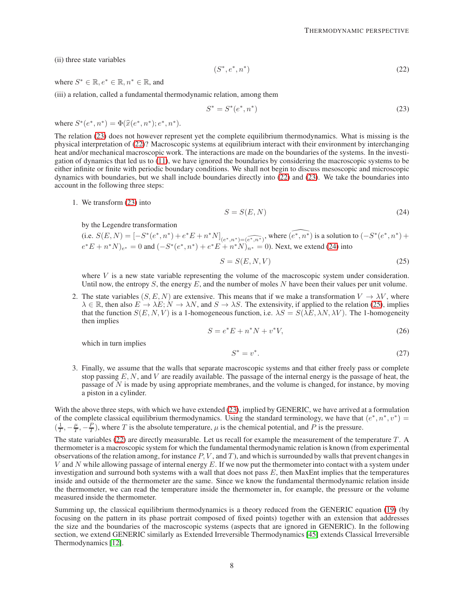(ii) three state variables

<span id="page-7-1"></span>
$$
(S^*, e^*, n^*)\tag{22}
$$

where  $S^* \in \mathbb{R}, e^* \in \mathbb{R}, n^* \in \mathbb{R}$ , and

(iii) a relation, called a fundamental thermodynamic relation, among them

<span id="page-7-0"></span>
$$
S^* = S^*(e^*, n^*)
$$
 (23)

where  $S^*(e^*, n^*) = \Phi(\hat{x}(e^*, n^*); e^*, n^*).$ 

The relation [\(23\)](#page-7-0) does not however represent yet the complete equilibrium thermodynamics. What is missing is the physical interpretation of [\(22\)](#page-7-1)? Macroscopic systems at equilibrium interact with their environment by interchanging heat and/or mechanical macroscopic work. The interactions are made on the boundaries of the systems. In the investigation of dynamics that led us to [\(11\)](#page-4-3), we have ignored the boundaries by considering the macroscopic systems to be either infinite or finite with periodic boundary conditions. We shall not begin to discuss mesoscopic and microscopic dynamics with boundaries, but we shall include boundaries directly into [\(22\)](#page-7-1) and [\(23\)](#page-7-0). We take the boundaries into account in the following three steps:

1. We transform [\(23\)](#page-7-0) into

<span id="page-7-2"></span>
$$
S = S(E, N) \tag{24}
$$

by the Legendre transformation

(i.e. 
$$
S(E, N) = [-S^*(e^*, n^*) + e^*E + n^*N]_{(e^*, n^*) = (\widehat{e^*, n^*)}}
$$
, where  $(\widehat{e^*, n^*)}$  is a solution to  $(-S^*(e^*, n^*) + e^*E + n^*N)_{e^*} = 0$  and  $(-S^*(e^*, n^*) + e^*E + n^*N)_{n^*} = 0$ ). Next, we extend (24) into

<span id="page-7-3"></span>
$$
S = S(E, N, V) \tag{25}
$$

where  $V$  is a new state variable representing the volume of the macroscopic system under consideration. Until now, the entropy  $S$ , the energy  $E$ , and the number of moles  $N$  have been their values per unit volume.

2. The state variables  $(S, E, N)$  are extensive. This means that if we make a transformation  $V \to \lambda V$ , where  $\lambda \in \mathbb{R}$ , then also  $E \to \lambda E$ ;  $N \to \lambda N$ , and  $S \to \lambda S$ . The extensivity, if applied to the relation [\(25\)](#page-7-3), implies that the function  $S(E, N, V)$  is a 1-homogeneous function, i.e.  $\lambda S = S(\lambda E, \lambda N, \lambda V)$ . The 1-homogeneity then implies

$$
S = e^*E + n^*N + v^*V,
$$
\n(26)

which in turn implies

$$
S^* = v^*.\tag{27}
$$

3. Finally, we assume that the walls that separate macroscopic systems and that either freely pass or complete stop passing E, N, and V are readily available. The passage of the internal energy is the passage of heat, the passage of N is made by using appropriate membranes, and the volume is changed, for instance, by moving a piston in a cylinder.

With the above three steps, with which we have extended [\(23\)](#page-7-0), implied by GENERIC, we have arrived at a formulation of the complete classical equilibrium thermodynamics. Using the standard terminology, we have that  $(e^*, n^*, v^*)$  =  $(\frac{1}{T}, -\frac{\mu}{T}, -\frac{P}{T})$ , where T is the absolute temperature,  $\mu$  is the chemical potential, and P is the pressure.

The state variables  $(22)$  are directly measurable. Let us recall for example the measurement of the temperature  $T$ . A thermometer is a macroscopic system for which the fundamental thermodynamic relation is known (from experimental observations of the relation among, for instance  $P$ ,  $V$ , and  $T$ ), and which is surrounded by walls that prevent changes in  $V$  and  $N$  while allowing passage of internal energy  $E$ . If we now put the thermometer into contact with a system under investigation and surround both systems with a wall that does not pass  $E$ , then MaxEnt implies that the temperatures inside and outside of the thermometer are the same. Since we know the fundamental thermodynamic relation inside the thermometer, we can read the temperature inside the thermometer in, for example, the pressure or the volume measured inside the thermometer.

Summing up, the classical equilibrium thermodynamics is a theory reduced from the GENERIC equation [\(19\)](#page-5-6) (by focusing on the pattern in its phase portrait composed of fixed points) together with an extension that addresses the size and the boundaries of the macroscopic systems (aspects that are ignored in GENERIC). In the following section, we extend GENERIC similarly as Extended Irreversible Thermodynamics [\[45\]](#page-22-16) extends Classical Irreversible Thermodynamics [\[12\]](#page-21-17).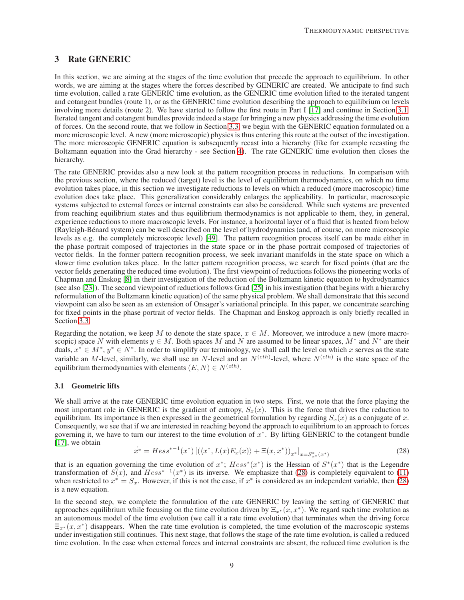# <span id="page-8-0"></span>3 Rate GENERIC

In this section, we are aiming at the stages of the time evolution that precede the approach to equilibrium. In other words, we are aiming at the stages where the forces described by GENERIC are created. We anticipate to find such time evolution, called a rate GENERIC time evolution, as the GENERIC time evolution lifted to the iterated tangent and cotangent bundles (route 1), or as the GENERIC time evolution describing the approach to equilibrium on levels involving more details (route 2). We have started to follow the first route in Part I [\[17\]](#page-21-2) and continue in Section [3.1.](#page-8-1) Iterated tangent and cotangent bundles provide indeed a stage for bringing a new physics addressing the time evolution of forces. On the second route, that we follow in Section [3.3,](#page-13-0) we begin with the GENERIC equation formulated on a more microscopic level. A new (more microscopic) physics is thus entering this route at the outset of the investigation. The more microscopic GENERIC equation is subsequently recast into a hierarchy (like for example recasting the Boltzmann equation into the Grad hierarchy - see Section [4\)](#page-16-0). The rate GENERIC time evolution then closes the hierarchy.

The rate GENERIC provides also a new look at the pattern recognition process in reductions. In comparison with the previous section, where the reduced (target) level is the level of equilibrium thermodynamics, on which no time evolution takes place, in this section we investigate reductions to levels on which a reduced (more macroscopic) time evolution does take place. This generalization considerably enlarges the applicability. In particular, macroscopic systems subjected to external forces or internal constraints can also be considered. While such systems are prevented from reaching equilibrium states and thus equilibrium thermodynamics is not applicable to them, they, in general, experience reductions to more macroscopic levels. For instance, a horizontal layer of a fluid that is heated from below (Rayleigh-B´enard system) can be well described on the level of hydrodynamics (and, of course, on more microscopic levels as e.g. the completely microscopic level) [\[49\]](#page-22-17). The pattern recognition process itself can be made either in the phase portrait composed of trajectories in the state space or in the phase portrait composed of trajectories of vector fields. In the former pattern recognition process, we seek invariant manifolds in the state space on which a slower time evolution takes place. In the latter pattern recognition process, we search for fixed points (that are the vector fields generating the reduced time evolution). The first viewpoint of reductions follows the pioneering works of Chapman and Enskog [\[8\]](#page-20-6) in their investigation of the reduction of the Boltzmann kinetic equation to hydrodynamics (see also [\[23\]](#page-21-5)). The second viewpoint of reductions follows Grad [\[25\]](#page-21-18) in his investigation (that begins with a hierarchy reformulation of the Boltzmann kinetic equation) of the same physical problem. We shall demonstrate that this second viewpoint can also be seen as an extension of Onsager's variational principle. In this paper, we concentrate searching for fixed points in the phase portrait of vector fields. The Chapman and Enskog approach is only briefly recalled in Section [3.3.](#page-13-0)

Regarding the notation, we keep M to denote the state space,  $x \in M$ . Moreover, we introduce a new (more macroscopic) space N with elements  $y \in M$ . Both spaces M and N are assumed to be linear spaces,  $M^*$  and  $N^*$  are their duals,  $x^* \in M^*$ ,  $y^* \in N^*$ . In order to simplify our terminology, we shall call the level on which x serves as the state variable an M-level, similarly, we shall use an N-level and an  $N^{(eth)}$ -level, where  $N^{(eth)}$  is the state space of the equilibrium thermodynamics with elements  $(E, N) \in N^{(eth)}$ .

#### <span id="page-8-1"></span>3.1 Geometric lifts

We shall arrive at the rate GENERIC time evolution equation in two steps. First, we note that the force playing the most important role in GENERIC is the gradient of entropy,  $S<sub>x</sub>(x)$ . This is the force that drives the reduction to equilibrium. Its importance is then expressed in the geometrical formulation by regarding  $S<sub>x</sub>(x)$  as a conjugate of x. Consequently, we see that if we are interested in reaching beyond the approach to equilibrium to an approach to forces governing it, we have to turn our interest to the time evolution of  $x^*$ . By lifting GENERIC to the cotangent bundle [\[17\]](#page-21-2), we obtain

<span id="page-8-2"></span>
$$
\dot{x}^* = Hess^{*-1}(x^*)\left[\left(\langle x^*, L(x)E_x(x)\rangle + \Xi(x, x^*)\right)_{x^*}\right]_{x=S_{x^*}^*(x^*)}
$$
(28)

that is an equation governing the time evolution of  $x^*$ ;  $Hess^*(x^*)$  is the Hessian of  $S^*(x^*)$  that is the Legendre transformation of  $S(x)$ , and  $Hess^{*-1}(x^*)$  is its inverse. We emphasize that [\(28\)](#page-8-2) is completely equivalent to [\(11\)](#page-4-3) when restricted to  $x^* = S_x$ . However, if this is not the case, if  $x^*$  is considered as an independent variable, then [\(28\)](#page-8-2) is a new equation.

In the second step, we complete the formulation of the rate GENERIC by leaving the setting of GENERIC that approaches equilibrium while focusing on the time evolution driven by  $\Xi_{x^*}(x, x^*)$ . We regard such time evolution as an autonomous model of the time evolution (we call it a rate time evolution) that terminates when the driving force  $\Xi_{x^*}(x, x^*)$  disappears. When the rate time evolution is completed, the time evolution of the macroscopic systems under investigation still continues. This next stage, that follows the stage of the rate time evolution, is called a reduced time evolution. In the case when external forces and internal constraints are absent, the reduced time evolution is the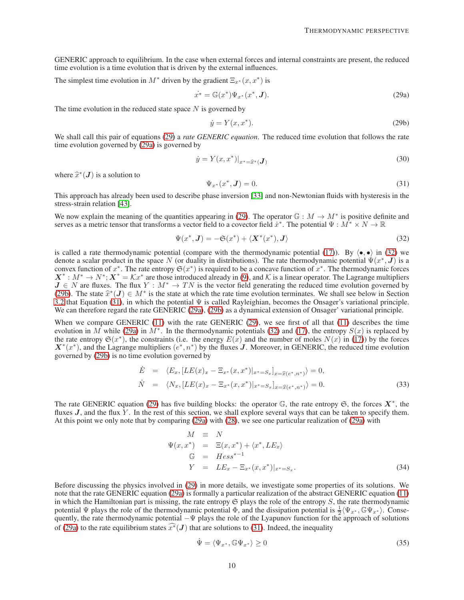GENERIC approach to equilibrium. In the case when external forces and internal constraints are present, the reduced time evolution is a time evolution that is driven by the external influences.

The simplest time evolution in  $M^*$  driven by the gradient  $\Xi_{x^*}(x, x^*)$  is

<span id="page-9-1"></span>
$$
\dot{x}^* = \mathbb{G}(x^*) \Psi_{x^*}(x^*, \mathbf{J}). \tag{29a}
$$

The time evolution in the reduced state space  $N$  is governed by

<span id="page-9-3"></span><span id="page-9-0"></span>
$$
\dot{y} = Y(x, x^*). \tag{29b}
$$

We shall call this pair of equations [\(29\)](#page-9-0) a *rate GENERIC equation*. The reduced time evolution that follows the rate time evolution governed by [\(29a\)](#page-9-1) is governed by

$$
\dot{y} = Y(x, x^*)|_{x^* = \hat{x}^*} (J) \tag{30}
$$

where  $\hat{x}^*(J)$  is a solution to

<span id="page-9-4"></span>
$$
\Psi_{x^*}(x^*, J) = 0. \tag{31}
$$

This approach has already been used to describe phase inversion [\[33\]](#page-21-19) and non-Newtonian fluids with hysteresis in the stress-strain relation [\[43\]](#page-22-18).

We now explain the meaning of the quantities appearing in [\(29\)](#page-9-0). The operator  $\mathbb{G}: M \to M^*$  is positive definite and serves as a metric tensor that transforms a vector field to a covector field  $\dot{x}^*$ . The potential  $\Psi : M^* \times N \to \mathbb{R}$ 

<span id="page-9-2"></span>
$$
\Psi(x^*, \mathbf{J}) = -\mathfrak{S}(x^*) + \langle \mathbf{X}^*(x^*), \mathbf{J} \rangle \tag{32}
$$

is called a rate thermodynamic potential (compare with the thermodynamic potential [\(17\)](#page-5-4)). By  $\langle \bullet, \bullet \rangle$  in [\(32\)](#page-9-2) we denote a scalar product in the space N (or duality in distributions). The rate thermodynamic potential  $\Psi(x^*, \textbf{J})$  is a convex function of  $x^*$ . The rate entropy  $\mathfrak{S}(x^*)$  is required to be a concave function of  $x^*$ . The thermodynamic forces  $X^* : M^* \to N^*; X^* = \mathcal{K}x^*$  are those introduced already in [\(9\)](#page-4-5), and K is a linear operator. The Lagrange multipliers  $J \in N$  are fluxes. The flux  $Y : M^* \to TN$  is the vector field generating the reduced time evolution governed by [\(29b\)](#page-9-3). The state  $\hat{x}^*(J) \in M^*$  is the state at which the rate time evolution terminates. We shall see below in Section  $(3.1)$  in which the potential W is called Bayleighian becomes the Operacy's veristional principle [3.2](#page-10-0) that Equation [\(31\)](#page-9-4), in which the potential  $\Psi$  is called Rayleighian, becomes the Onsager's variational principle. We can therefore regard the rate GENERIC [\(29a\)](#page-9-1), [\(29b\)](#page-9-3) as a dynamical extension of Onsager' variational principle.

When we compare GENERIC  $(11)$  with the rate GENERIC  $(29)$ , we see first of all that  $(11)$  describes the time evolution in M while [\(29a\)](#page-9-1) in M<sup>∗</sup>. In the thermodynamic potentials [\(32\)](#page-9-2) and [\(17\)](#page-5-4), the entropy  $S(x)$  is replaced by the rate entropy  $\mathfrak{S}(x^*)$ , the constraints (i.e. the energy  $E(x)$  and the number of moles  $N(x)$  in [\(17\)](#page-5-4)) by the forces  $X^*(x^*)$ , and the Lagrange multipliers  $(e^*, n^*)$  by the fluxes J. Moreover, in GENERIC, the reduced time evolution governed by [\(29b\)](#page-9-3) is no time evolution governed by

$$
\dot{E} = \langle E_x, [LE(x)_x - \Xi_{x^*}(x, x^*)|_{x^* = S_x}]_{x = \hat{x}(e^*, n^*)} \rangle = 0, \n\dot{N} = \langle N_x, [LE(x)_x - \Xi_{x^*}(x, x^*)|_{x^* = S_x}]_{x = \hat{x}(e^*, n^*)} \rangle = 0.
$$
\n(33)

The rate GENERIC equation [\(29\)](#page-9-0) has five building blocks: the operator  $\mathbb{G}$ , the rate entropy  $\mathfrak{S}$ , the forces  $X^*$ , the fluxes  $J$ , and the flux  $\hat{Y}$ . In the rest of this section, we shall explore several ways that can be taken to specify them. At this point we only note that by comparing [\(29a\)](#page-9-1) with [\(28\)](#page-8-2), we see one particular realization of [\(29a\)](#page-9-1) with

<span id="page-9-5"></span>
$$
M \equiv N
$$
  
\n
$$
\Psi(x, x^*) = \Xi(x, x^*) + \langle x^*, LE_x \rangle
$$
  
\n
$$
\mathbb{G} = Hess^{*-1}
$$
  
\n
$$
Y = LE_x - \Xi_{x^*}(x, x^*)|_{x^* = S_x}.
$$
\n(34)

Before discussing the physics involved in [\(29\)](#page-9-0) in more details, we investigate some properties of its solutions. We note that the rate GENERIC equation [\(29a\)](#page-9-1) is formally a particular realization of the abstract GENERIC equation [\(11\)](#page-4-3) in which the Hamiltonian part is missing, the rate entropy  $\mathfrak S$  plays the role of the entropy  $S$ , the rate thermodynamic potential  $\Psi$  plays the role of the thermodynamic potential  $\Phi$ , and the dissipation potential is  $\frac{1}{2} \langle \Psi_{x^*}, \mathbb{G} \Psi_{x^*} \rangle$ . Consequently, the rate thermodynamic potential  $-\Psi$  plays the role of the Lyapunov function for the approach of solutions of [\(29a\)](#page-9-1) to the rate equilibrium states  $\widehat{x^*}(J)$  that are solutions to [\(31\)](#page-9-4). Indeed, the inequality

$$
\dot{\Psi} = \langle \Psi_{x^*}, \mathbb{G}\Psi_{x^*} \rangle \ge 0 \tag{35}
$$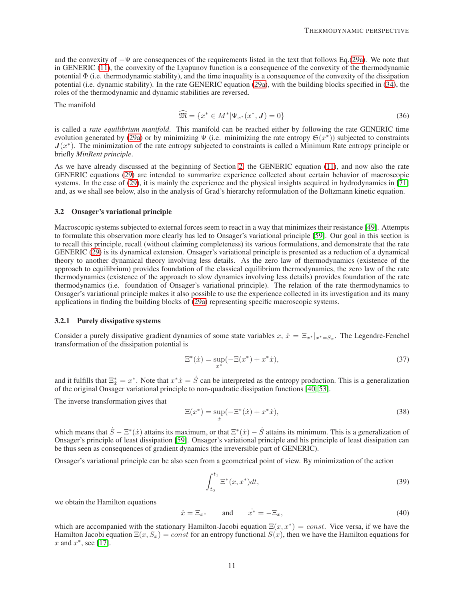and the convexity of −Ψ are consequences of the requirements listed in the text that follows Eq.[\(29a\)](#page-9-1). We note that in GENERIC [\(11\)](#page-4-3), the convexity of the Lyapunov function is a consequence of the convexity of the thermodynamic potential  $\Phi$  (i.e. thermodynamic stability), and the time inequality is a consequence of the convexity of the dissipation potential (i.e. dynamic stability). In the rate GENERIC equation [\(29a\)](#page-9-1), with the building blocks specified in [\(34\)](#page-9-5), the roles of the thermodynamic and dynamic stabilities are reversed.

The manifold

$$
\widehat{\mathfrak{M}} = \{ x^* \in M^* | \Psi_{x^*}(x^*, \mathbf{J}) = 0 \}
$$
\n(36)

is called a *rate equilibrium manifold*. This manifold can be reached either by following the rate GENERIC time evolution generated by [\(29a\)](#page-9-1) or by minimizing  $\Psi$  (i.e. minimizing the rate entropy  $\mathfrak{S}(x^*)$ ) subjected to constraints  $J(x^*)$ . The minimization of the rate entropy subjected to constraints is called a Minimum Rate entropy principle or briefly *MinRent principle*.

As we have already discussed at the beginning of Section [2,](#page-2-0) the GENERIC equation [\(11\)](#page-4-3), and now also the rate GENERIC equations [\(29\)](#page-9-0) are intended to summarize experience collected about certain behavior of macroscopic systems. In the case of [\(29\)](#page-9-0), it is mainly the experience and the physical insights acquired in hydrodynamics in [\[71\]](#page-23-0) and, as we shall see below, also in the analysis of Grad's hierarchy reformulation of the Boltzmann kinetic equation.

#### <span id="page-10-0"></span>3.2 Onsager's variational principle

Macroscopic systems subjected to external forces seem to react in a way that minimizes their resistance [\[49\]](#page-22-17). Attempts to formulate this observation more clearly has led to Onsager's variational principle [\[59\]](#page-22-5). Our goal in this section is to recall this principle, recall (without claiming completeness) its various formulations, and demonstrate that the rate GENERIC [\(29\)](#page-9-0) is its dynamical extension. Onsager's variational principle is presented as a reduction of a dynamical theory to another dynamical theory involving less details. As the zero law of thermodynamics (existence of the approach to equilibrium) provides foundation of the classical equilibrium thermodynamics, the zero law of the rate thermodynamics (existence of the approach to slow dynamics involving less details) provides foundation of the rate thermodynamics (i.e. foundation of Onsager's variational principle). The relation of the rate thermodynamics to Onsager's variational principle makes it also possible to use the experience collected in its investigation and its many applications in finding the building blocks of [\(29a\)](#page-9-1) representing specific macroscopic systems.

## <span id="page-10-1"></span>3.2.1 Purely dissipative systems

Consider a purely dissipative gradient dynamics of some state variables  $x, \dot{x} = \Xi_{x^*}|_{x^* = S_x}$ . The Legendre-Fenchel transformation of the dissipation potential is

$$
\Xi^*(\dot{x}) = \sup_{x^*} (-\Xi(x^*) + x^* \dot{x}),\tag{37}
$$

and it fulfills that  $\Xi_{\dot{x}}^* = x^*$ . Note that  $x^* \dot{x} = \dot{S}$  can be interpreted as the entropy production. This is a generalization of the original Onsager variational principle to non-quadratic dissipation functions [\[40,](#page-22-3) [53\]](#page-22-12).

The inverse transformation gives that

$$
\Xi(x^*) = \sup_{\dot{x}} (-\Xi^*(\dot{x}) + x^*\dot{x}),
$$
\n(38)

which means that  $\dot{S} - \Xi^*(\dot{x})$  attains its maximum, or that  $\Xi^*(\dot{x}) - \dot{S}$  attains its minimum. This is a generalization of Onsager's principle of least dissipation [\[59\]](#page-22-5). Onsager's variational principle and his principle of least dissipation can be thus seen as consequences of gradient dynamics (the irreversible part of GENERIC).

Onsager's variational principle can be also seen from a geometrical point of view. By minimization of the action

$$
\int_{t_0}^{t_1} \Xi^*(x, x^*) dt,
$$
\n(39)

we obtain the Hamilton equations

$$
\dot{x} = \Xi_{x^*} \qquad \text{and} \qquad \dot{x^*} = -\Xi_x,\tag{40}
$$

which are accompanied with the stationary Hamilton-Jacobi equation  $\Xi(x, x^*) = const$ . Vice versa, if we have the Hamilton Jacobi equation  $\Xi(x, S_x) = const$  for an entropy functional  $S(x)$ , then we have the Hamilton equations for  $x$  and  $x^*$ , see [\[17\]](#page-21-2).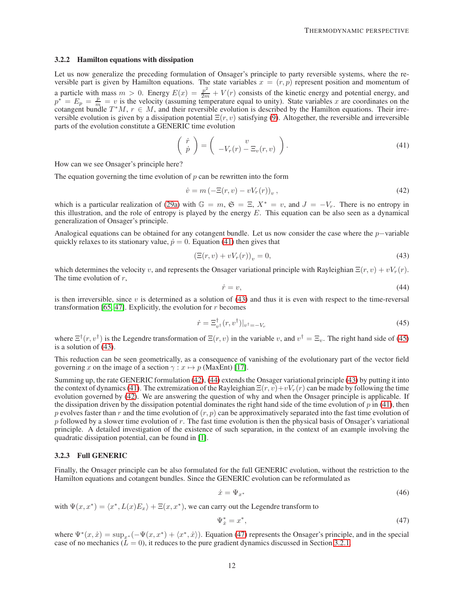#### 3.2.2 Hamilton equations with dissipation

Let us now generalize the preceding formulation of Onsager's principle to party reversible systems, where the reversible part is given by Hamilton equations. The state variables  $x = (r, p)$  represent position and momentum of a particle with mass  $m > 0$ . Energy  $E(x) = \frac{p^2}{2m} + V(r)$  consists of the kinetic energy and potential energy, and  $p^* = E_p = \frac{p}{m} = v$  is the velocity (assuming temperature equal to unity). State variables x are coordinates on the cotangent bundle  $T^*M$ ,  $r \in M$ , and their reversible evolution is described by the Hamilton equations. Their irreversible evolution is given by a dissipation potential  $\Xi(r, v)$  satisfying [\(9\)](#page-4-5). Altogether, the reversible and irreversible parts of the evolution constitute a GENERIC time evolution

<span id="page-11-0"></span>
$$
\begin{pmatrix}\n\dot{r} \\
\dot{p}\n\end{pmatrix} = \begin{pmatrix}\nv \\
-V_r(r) - \Xi_v(r, v)\n\end{pmatrix}.
$$
\n(41)

How can we see Onsager's principle here?

The equation governing the time evolution of  $p$  can be rewritten into the form

<span id="page-11-3"></span>
$$
\dot{v} = m \left( -\Xi(r, v) - vV_r(r) \right)_v,\tag{42}
$$

which is a particular realization of [\(29a\)](#page-9-1) with  $\mathbb{G} = m$ ,  $\mathfrak{S} = \Xi$ ,  $X^* = v$ , and  $J = -V_r$ . There is no entropy in this illustration, and the role of entropy is played by the energy  $E$ . This equation can be also seen as a dynamical generalization of Onsager's principle.

Analogical equations can be obtained for any cotangent bundle. Let us now consider the case where the p−variable quickly relaxes to its stationary value,  $\dot{p} = 0$ . Equation [\(41\)](#page-11-0) then gives that

<span id="page-11-1"></span>
$$
\left(\Xi(r,v) + vV_r(r)\right)_v = 0,\tag{43}
$$

which determines the velocity v, and represents the Onsager variational principle with Rayleighian  $\Xi(r, v) + vV_r(r)$ . The time evolution of  $r$ ,

<span id="page-11-4"></span>
$$
\dot{r} = v,\tag{44}
$$

is then irreversible, since  $v$  is determined as a solution of [\(43\)](#page-11-1) and thus it is even with respect to the time-reversal transformation [\[65,](#page-22-19) [47\]](#page-22-20). Explicitly, the evolution for  $r$  becomes

<span id="page-11-2"></span>
$$
\dot{r} = \Xi_{v^{\dagger}}^{\dagger} (r, v^{\dagger})|_{v^{\dagger} = -V_r} \tag{45}
$$

where  $\Xi^{\dagger}(r, v^{\dagger})$  is the Legendre transformation of  $\Xi(r, v)$  in the variable v, and  $v^{\dagger} = \Xi_v$ . The right hand side of [\(45\)](#page-11-2) is a solution of [\(43\)](#page-11-1).

This reduction can be seen geometrically, as a consequence of vanishing of the evolutionary part of the vector field governing x on the image of a section  $\gamma : x \mapsto p$  (MaxEnt) [\[17\]](#page-21-2).

Summing up, the rate GENERIC formulation  $(42)$ ,  $(44)$  extends the Onsager variational principle  $(43)$  by putting it into the context of dynamics [\(41\)](#page-11-0). The extremization of the Rayleighian  $\Xi(r, v)+vV_r(r)$  can be made by following the time evolution governed by [\(42\)](#page-11-3). We are answering the question of why and when the Onsager principle is applicable. If the dissipation driven by the dissipation potential dominates the right hand side of the time evolution of  $p$  in [\(41\)](#page-11-0), then p evolves faster than r and the time evolution of  $(r, p)$  can be approximatively separated into the fast time evolution of  $p$  followed by a slower time evolution of  $r$ . The fast time evolution is then the physical basis of Onsager's variational principle. A detailed investigation of the existence of such separation, in the context of an example involving the quadratic dissipation potential, can be found in [\[1\]](#page-20-7).

#### 3.2.3 Full GENERIC

Finally, the Onsager principle can be also formulated for the full GENERIC evolution, without the restriction to the Hamilton equations and cotangent bundles. Since the GENERIC evolution can be reformulated as

$$
\dot{x} = \Psi_{x^*} \tag{46}
$$

with  $\Psi(x, x^*) = \langle x^*, L(x)E_x \rangle + \Xi(x, x^*)$ , we can carry out the Legendre transform to

<span id="page-11-5"></span>
$$
\Psi_{\dot{x}}^* = x^*,\tag{47}
$$

where  $\Psi^*(x, \dot{x}) = \sup_{x^*}(-\Psi(x, x^*) + \langle x^*, \dot{x} \rangle)$ . Equation [\(47\)](#page-11-5) represents the Onsager's principle, and in the special case of no mechanics ( $\overline{L} = 0$ ), it reduces to the pure gradient dynamics discussed in Section [3.2.1.](#page-10-1)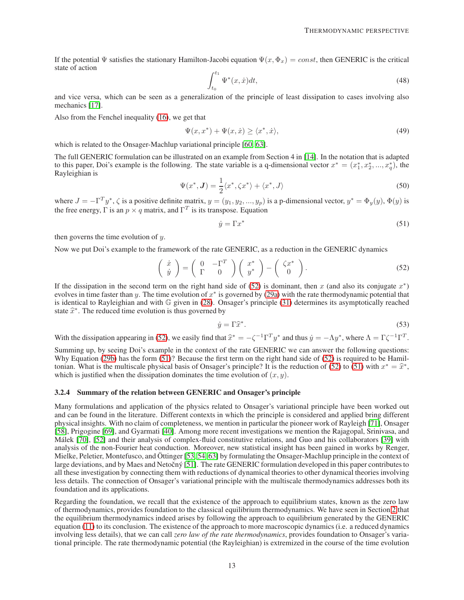If the potential  $\Psi$  satisfies the stationary Hamilton-Jacobi equation  $\Psi(x, \Phi_x) = const$ , then GENERIC is the critical state of action

$$
\int_{t_0}^{t_1} \Psi^*(x, \dot{x}) dt,
$$
\n(48)

and vice versa, which can be seen as a generalization of the principle of least dissipation to cases involving also mechanics [\[17\]](#page-21-2).

Also from the Fenchel inequality [\(16\)](#page-5-7), we get that

$$
\Psi(x, x^*) + \Psi(x, \dot{x}) \ge \langle x^*, \dot{x} \rangle,\tag{49}
$$

which is related to the Onsager-Machlup variational principle [\[60,](#page-22-21) [63\]](#page-22-22).

The full GENERIC formulation can be illustrated on an example from Section 4 in [\[14\]](#page-21-4). In the notation that is adapted to this paper, Doi's example is the following. The state variable is a q-dimensional vector  $x^* = (x_1^*, x_2^*, ..., x_q^*)$ , the Rayleighian is

<span id="page-12-2"></span>
$$
\Psi(x^*, \mathbf{J}) = \frac{1}{2} \langle x^*, \zeta x^* \rangle + \langle x^*, J \rangle \tag{50}
$$

where  $J = -\Gamma^T y^*$ ,  $\zeta$  is a positive definite matrix,  $y = (y_1, y_2, ..., y_p)$  is a p-dimensional vector,  $y^* = \Phi_y(y)$ ,  $\Phi(y)$  is the free energy,  $\Gamma$  is an  $p \times q$  matrix, and  $\Gamma^T$  is its transpose. Equation

<span id="page-12-1"></span>
$$
\dot{y} = \Gamma x^* \tag{51}
$$

then governs the time evolution of  $y$ .

Now we put Doi's example to the framework of the rate GENERIC, as a reduction in the GENERIC dynamics

<span id="page-12-0"></span>
$$
\begin{pmatrix}\n\dot{x} \\
\dot{y}\n\end{pmatrix} = \begin{pmatrix}\n0 & -\Gamma^T \\
\Gamma & 0\n\end{pmatrix} \begin{pmatrix}\nx^* \\
y^*\n\end{pmatrix} - \begin{pmatrix}\n\zeta x^* \\
0\n\end{pmatrix}.
$$
\n(52)

If the dissipation in the second term on the right hand side of  $(52)$  is dominant, then x (and also its conjugate  $x^*$ ) evolves in time faster than y. The time evolution of  $x^*$  is governed by [\(29a\)](#page-9-1) with the rate thermodynamic potential that is identical to Rayleighian and with G given in [\(28\)](#page-8-2). Onsager's principle [\(31\)](#page-9-4) determines its asymptotically reached state  $\hat{x}^*$ . The reduced time evolution is thus governed by

<span id="page-12-3"></span>
$$
\dot{y} = \Gamma \hat{x}^*.\tag{53}
$$

With the dissipation appearing in [\(52\)](#page-12-0), we easily find that  $\hat{x}^* = -\zeta^{-1} \Gamma^T y^*$  and thus  $\dot{y} = -\Lambda y^*$ , where  $\Lambda = \Gamma \zeta^{-1} \Gamma^T$ .

Summing up, by seeing Doi's example in the context of the rate GENERIC we can answer the following questions: Why Equation [\(29b\)](#page-9-3) has the form [\(51\)](#page-12-1)? Because the first term on the right hand side of [\(52\)](#page-12-0) is required to be Hamil-tonian. What is the multiscale physical basis of Onsager's principle? It is the reduction of [\(52\)](#page-12-0) to [\(51\)](#page-12-1) with  $x^* = \hat{x}^*$ , which is justified when the dissipation dominates the time evolution of  $(x, y)$ .

#### 3.2.4 Summary of the relation between GENERIC and Onsager's principle

Many formulations and application of the physics related to Onsager's variational principle have been worked out and can be found in the literature. Different contexts in which the principle is considered and applied bring different physical insights. With no claim of completeness, we mention in particular the pioneer work of Rayleigh [\[71\]](#page-23-0), Onsager [\[58\]](#page-22-2), Prigogine [\[69\]](#page-23-1), and Gyarmati [\[40\]](#page-22-3). Among more recent investigations we mention the Rajagopal, Srinivasa, and Málek [\[70\]](#page-23-2), [\[52\]](#page-22-23) and their analysis of complex-fluid constitutive relations, and Guo and his collaborators [\[39\]](#page-22-4) with analysis of the non-Fourier heat conduction. Moreover, new statistical insight has been gained in works by Renger, Mielke, Peletier, Montefusco, and Öttinger [\[53,](#page-22-12) [54,](#page-22-13) [63\]](#page-22-22) by formulating the Onsager-Machlup principle in the context of large deviations, and by Maes and Netočný [\[51\]](#page-22-24). The rate GENERIC formulation developed in this paper contributes to all these investigation by connecting them with reductions of dynamical theories to other dynamical theories involving less details. The connection of Onsager's variational principle with the multiscale thermodynamics addresses both its foundation and its applications.

Regarding the foundation, we recall that the existence of the approach to equilibrium states, known as the zero law of thermodynamics, provides foundation to the classical equilibrium thermodynamics. We have seen in Section [2](#page-2-0) that the equilibrium thermodynamics indeed arises by following the approach to equilibrium generated by the GENERIC equation [\(11\)](#page-4-3) to its conclusion. The existence of the approach to more macroscopic dynamics (i.e. a reduced dynamics involving less details), that we can call *zero law of the rate thermodynamics*, provides foundation to Onsager's variational principle. The rate thermodynamic potential (the Rayleighian) is extremized in the course of the time evolution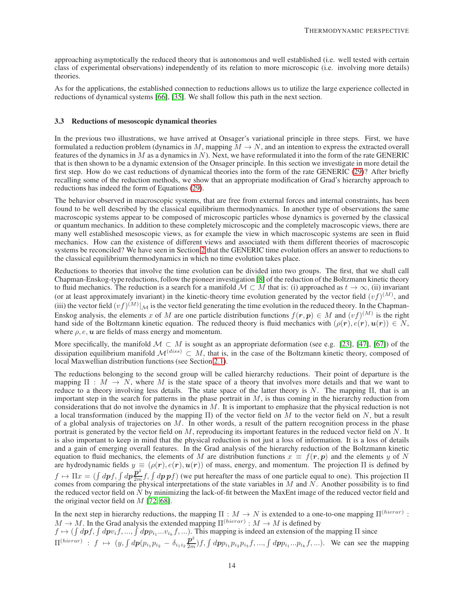approaching asymptotically the reduced theory that is autonomous and well established (i.e. well tested with certain class of experimental observations) independently of its relation to more microscopic (i.e. involving more details) theories.

As for the applications, the established connection to reductions allows us to utilize the large experience collected in reductions of dynamical systems [\[66\]](#page-22-11), [\[35\]](#page-21-20). We shall follow this path in the next section.

#### <span id="page-13-0"></span>3.3 Reductions of mesoscopic dynamical theories

In the previous two illustrations, we have arrived at Onsager's variational principle in three steps. First, we have formulated a reduction problem (dynamics in M, mapping  $M \to N$ , and an intention to express the extracted overall features of the dynamics in  $M$  as a dynamics in  $N$ ). Next, we have reformulated it into the form of the rate GENERIC that is then shown to be a dynamic extension of the Onsager principle. In this section we investigate in more detail the first step. How do we cast reductions of dynamical theories into the form of the rate GENERIC [\(29\)](#page-9-0)? After briefly recalling some of the reduction methods, we show that an appropriate modification of Grad's hierarchy approach to reductions has indeed the form of Equations [\(29\)](#page-9-0).

The behavior observed in macroscopic systems, that are free from external forces and internal constraints, has been found to be well described by the classical equilibrium thermodynamics. In another type of observations the same macroscopic systems appear to be composed of microscopic particles whose dynamics is governed by the classical or quantum mechanics. In addition to these completely microscopic and the completely macroscopic views, there are many well established mesoscopic views, as for example the view in which macroscopic systems are seen in fluid mechanics. How can the existence of different views and associated with them different theories of macroscopic systems be reconciled? We have seen in Section [2](#page-2-0) that the GENERIC time evolution offers an answer to reductions to the classical equilibrium thermodynamics in which no time evolution takes place.

Reductions to theories that involve the time evolution can be divided into two groups. The first, that we shall call Chapman-Enskog-type reductions, follow the pioneer investigation [\[8\]](#page-20-6) of the reduction of the Boltzmann kinetic theory to fluid mechanics. The reduction is a search for a manifold  $\mathcal{M} \subset M$  that is: (i) approached as  $t \to \infty$ , (ii) invariant (or at least approximately invariant) in the kinetic-theory time evolution generated by the vector field  $(vf)^{(M)}$ , and (iii) the vector field  $(vf)^{(M)}|_{\mathcal{M}}$  is the vector field generating the time evolution in the reduced theory. In the Chapman-Enskog analysis, the elements x of M are one particle distribution functions  $f(r, p) \in M$  and  $(vf)^{(M)}$  is the right hand side of the Boltzmann kinetic equation. The reduced theory is fluid mechanics with  $(\rho(\mathbf{r}), e(\mathbf{r}), \mathbf{u}(\mathbf{r})) \in N$ , where  $\rho$ ,  $e$ ,  $u$  are fields of mass energy and momentum.

More specifically, the manifold  $M \subset M$  is sought as an appropriate deformation (see e.g. [\[23\]](#page-21-5), [\[47\]](#page-22-20), [\[67\]](#page-22-25)) of the dissipation equilibrium manifold  $\mathcal{M}^{(diss)} \subset M$ , that is, in the case of the Boltzmann kinetic theory, composed of local Maxwellian distribution functions (see Section [2.1\)](#page-4-6).

The reductions belonging to the second group will be called hierarchy reductions. Their point of departure is the mapping  $\Pi : M \to N$ , where M is the state space of a theory that involves more details and that we want to reduce to a theory involving less details. The state space of the latter theory is  $N$ . The mapping  $\Pi$ , that is an important step in the search for patterns in the phase portrait in  $M$ , is thus coming in the hierarchy reduction from considerations that do not involve the dynamics in  $M$ . It is important to emphasize that the physical reduction is not a local transformation (induced by the mapping  $\Pi$ ) of the vector field on M to the vector field on N, but a result of a global analysis of trajectories on  $M$ . In other words, a result of the pattern recognition process in the phase portrait is generated by the vector field on  $M$ , reproducing its important features in the reduced vector field on  $N$ . It is also important to keep in mind that the physical reduction is not just a loss of information. It is a loss of details and a gain of emerging overall features. In the Grad analysis of the hierarchy reduction of the Boltzmann kinetic equation to fluid mechanics, the elements of M are distribution functions  $x \equiv f(r, p)$  and the elements y of N are hydrodynamic fields  $y \equiv (\rho(r), e(r), u(r))$  of mass, energy, and momentum. The projection  $\Pi$  is defined by  $f \mapsto \Pi x = (\int dp f, \int dp \frac{p^2}{2m} f, \int dp \, pf)$  (we put hereafter the mass of one particle equal to one). This projection  $\Pi$ comes from comparing the physical interpretations of the state variables in  $M$  and  $N$ . Another possibility is to find the reduced vector field on N by minimizing the lack-of-fit between the MaxEnt image of the reduced vector field and the original vector field on  $M$  [\[72,](#page-23-3) [68\]](#page-23-4).

In the next step in hierarchy reductions, the mapping  $\Pi : M \to N$  is extended to a one-to-one mapping  $\Pi^{(hierarchy)}$ :  $M \to M$ . In the Grad analysis the extended mapping  $\Pi^{(hierarchy)} : M \to M$  is defined by

 $f \mapsto (\int dp f, \int dp v_i f, ..., \int dp p_{i_1} ... v_{i_k} f, ...)$ . This mapping is indeed an extension of the mapping  $\Pi$  since  $\Pi^{(hierarchy)}$ :  $f \mapsto (y, \int dp(p_{i_1}p_{i_2} - \delta_{i_1i_2}\frac{\mathbf{p}^2}{2m})f, \int dpp_{i_1}p_{i_2}p_{i_3}f, ..., \int dpp_{i_1}...p_{i_k}f, ...).$  We can see the mapping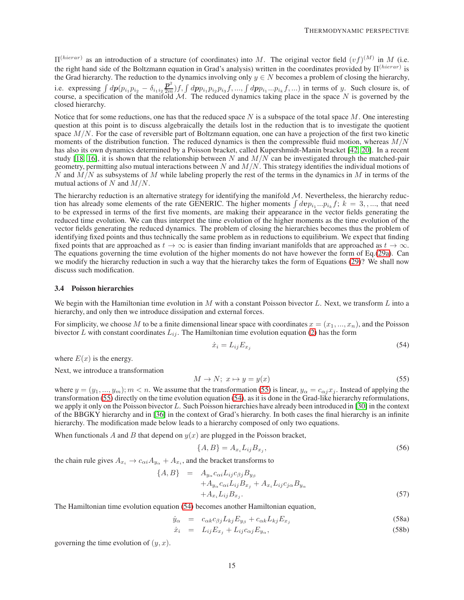$\Pi^{(hierarchy)}$  as an introduction of a structure (of coordinates) into M. The original vector field  $(vf)^{(M)}$  in M (i.e. the right hand side of the Boltzmann equation in Grad's analysis) written in the coordinates provided by  $\Pi^{(hierarchy)}$  is the Grad hierarchy. The reduction to the dynamics involving only  $y \in N$  becomes a problem of closing the hierarchy, i.e. expressing  $\int dp(p_{i_1}p_{i_2} - \delta_{i_1i_2}\frac{\mathbf{p}^2}{2m})f, \int dpp_{i_1}p_{i_2}p_{i_3}f, \dots, \int dpp_{i_1}...p_{i_k}f, \dots)$  in terms of y. Such closure is, of course, a specification of the manifold  $M$ . The reduced dynamics taking place in the space N is governed by the closed hierarchy.

Notice that for some reductions, one has that the reduced space  $N$  is a subspace of the total space  $M$ . One interesting question at this point is to discuss algebraically the details lost in the reduction that is to investigate the quotient space  $M/N$ . For the case of reversible part of Boltzmann equation, one can have a projection of the first two kinetic moments of the distribution function. The reduced dynamics is then the compressible fluid motion, whereas  $M/N$ has also its own dynamics determined by a Poisson bracket, called Kupershmidt-Manin bracket [\[42,](#page-22-26) [20\]](#page-21-21). In a recent study [\[18,](#page-21-22) [16\]](#page-21-14), it is shown that the relationship between N and  $M/N$  can be investigated through the matched-pair geometry, permitting also mutual interactions between  $N$  and  $M/N$ . This strategy identifies the individual motions of N and  $\dot{M}$  as subsystems of M while labeling properly the rest of the terms in the dynamics in M in terms of the mutual actions of N and  $M/N$ .

The hierarchy reduction is an alternative strategy for identifying the manifold  $M$ . Nevertheless, the hierarchy reduction has already some elements of the rate GENERIC. The higher moments  $\int d\nu p_{i_1}...p_{i_k} f$ ;  $k = 3, ...,$  that need to be expressed in terms of the first five moments, are making their appearance in the vector fields generating the reduced time evolution. We can thus interpret the time evolution of the higher moments as the time evolution of the vector fields generating the reduced dynamics. The problem of closing the hierarchies becomes thus the problem of identifying fixed points and thus technically the same problem as in reductions to equilibrium. We expect that finding fixed points that are approached as  $t \to \infty$  is easier than finding invariant manifolds that are approached as  $t \to \infty$ . The equations governing the time evolution of the higher moments do not have however the form of Eq.[\(29a\)](#page-9-1). Can we modify the hierarchy reduction in such a way that the hierarchy takes the form of Equations [\(29\)](#page-9-0)? We shall now discuss such modification.

#### 3.4 Poisson hierarchies

We begin with the Hamiltonian time evolution in M with a constant Poisson bivector L. Next, we transform L into a hierarchy, and only then we introduce dissipation and external forces.

For simplicity, we choose M to be a finite dimensional linear space with coordinates  $x = (x_1, ..., x_n)$ , and the Poisson bivector L with constant coordinates  $L_{ij}$ . The Hamiltonian time evolution equation [\(2\)](#page-3-0) has the form

<span id="page-14-1"></span>
$$
\dot{x}_i = L_{ij} E_{x_j} \tag{54}
$$

where  $E(x)$  is the energy.

Next, we introduce a transformation

<span id="page-14-0"></span>
$$
M \to N; \ x \mapsto y = y(x) \tag{55}
$$

where  $y = (y_1, ..., y_m)$ ;  $m < n$ . We assume that the transformation [\(55\)](#page-14-0) is linear,  $y_\alpha = c_{\alpha j} x_j$ . Instead of applying the transformation [\(55\)](#page-14-0) directly on the time evolution equation [\(54\)](#page-14-1), as it is done in the Grad-like hierarchy reformulations, we apply it only on the Poisson bivector  $L$ . Such Poisson hierarchies have already been introduced in [\[30\]](#page-21-23) in the context of the BBGKY hierarchy and in [\[36\]](#page-21-24) in the context of Grad's hierarchy. In both cases the final hierarchy is an infinite hierarchy. The modification made below leads to a hierarchy composed of only two equations.

When functionals A and B that depend on  $y(x)$  are plugged in the Poisson bracket,

<span id="page-14-3"></span><span id="page-14-2"></span>
$$
\{A,B\} = A_{x_i} L_{ij} B_{x_j},\tag{56}
$$

the chain rule gives  $A_{x_i} \to c_{\alpha i} A_{y_\alpha} + A_{x_i}$ , and the bracket transforms to

<span id="page-14-4"></span>
$$
\{A, B\} = A_{y_{\alpha}} c_{\alpha i} L_{ij} c_{\beta j} B_{y_{\beta}}
$$
  
+ 
$$
A_{y_{\alpha}} c_{\alpha i} L_{ij} B_{x_j} + A_{x_i} L_{ij} c_{j\alpha} B_{y_{\alpha}}
$$
  
+ 
$$
A_{x_i} L_{ij} B_{x_j}.
$$
 (57)

The Hamiltonian time evolution equation [\(54\)](#page-14-1) becomes another Hamiltonian equation,

$$
\dot{y}_{\alpha} = c_{\alpha k} c_{\beta j} L_{kj} E_{y_{\beta}} + c_{\alpha k} L_{kj} E_{x_j} \tag{58a}
$$

$$
\dot{x}_i = L_{ij} E_{x_j} + L_{ij} c_{\alpha j} E_{y_\alpha}, \qquad (58b)
$$

governing the time evolution of  $(y, x)$ .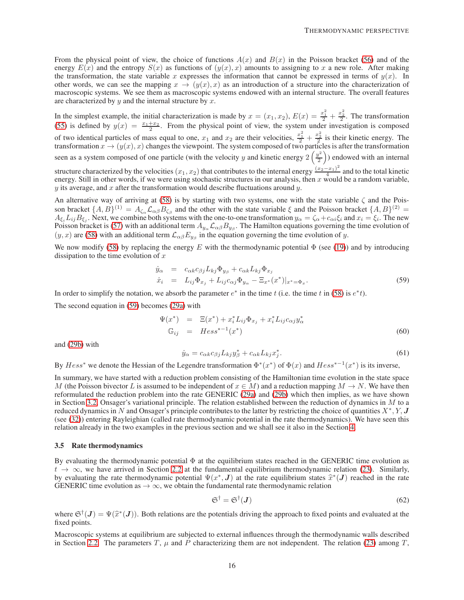From the physical point of view, the choice of functions  $A(x)$  and  $B(x)$  in the Poisson bracket [\(56\)](#page-14-2) and of the energy  $E(x)$  and the entropy  $S(x)$  as functions of  $(y(x), x)$  amounts to assigning to x a new role. After making the transformation, the state variable x expresses the information that cannot be expressed in terms of  $y(x)$ . In other words, we can see the mapping  $x \to (y(x), x)$  as an introduction of a structure into the characterization of macroscopic systems. We see them as macroscopic systems endowed with an internal structure. The overall features are characterized by  $y$  and the internal structure by  $x$ .

In the simplest example, the initial characterization is made by  $x = (x_1, x_2)$ ,  $E(x) = \frac{x_1^2}{2} + \frac{x_2^2}{2}$ . The transformation [\(55\)](#page-14-0) is defined by  $y(x) = \frac{x_1 + x_2}{2}$ . From the physical point of view, the system under investigation is composed of two identical particles of mass equal to one,  $x_1$  and  $x_2$  are their velocities,  $\frac{x_1^2}{2} + \frac{x_2^2}{2}$  is their kinetic energy. The transformation  $x \to (y(x), x)$  changes the viewpoint. The system composed of two particles is after the transformation seen as a system composed of one particle (with the velocity y and kinetic energy  $2\left(\frac{y^2}{2}\right)$ 2 ) endowed with an internal structure characterized by the velocities  $(x_1, x_2)$  that contributes to the internal energy  $\frac{(x_2-x_1)^2}{4}$  $\frac{(-x_1)}{4}$  and to the total kinetic energy. Still in other words, if we were using stochastic structures in our analysis, then  $x$  would be a random variable,  $y$  its average, and x after the transformation would describe fluctuations around  $y$ .

An alternative way of arriving at [\(58\)](#page-14-3) is by starting with two systems, one with the state variable  $\zeta$  and the Poisson bracket  $\{A, B\}^{(1)} = A_{\zeta_{\alpha}} \mathcal{L}_{\alpha\beta} B_{\zeta_{\beta}}$  and the other with the state variable  $\xi$  and the Poisson bracket  $\{A, B\}^{(2)} =$  $A_{\xi_i}L_{ij}B_{\xi_j}$ . Next, we combine both systems with the one-to-one transformation  $y_\alpha = \zeta_\alpha + c_{\alpha i}\zeta_i$  and  $x_i = \zeta_i$ . The new Poisson bracket is [\(57\)](#page-14-4) with an additional term  $A_{y_\alpha} L_{\alpha\beta} B_{y_\beta}$ . The Hamilton equations governing the time evolution of  $(y, x)$  are [\(58\)](#page-14-3) with an additional term  $\mathcal{L}_{\alpha\beta}E_{y_{\beta}}$  in the equation governing the time evolution of y.

We now modify [\(58\)](#page-14-3) by replacing the energy E with the thermodynamic potential  $\Phi$  (see [\(19\)](#page-5-6)) and by introducing dissipation to the time evolution of  $x$ 

<span id="page-15-0"></span>
$$
\dot{y}_{\alpha} = c_{\alpha k} c_{\beta j} L_{kj} \Phi_{y_{\beta}} + c_{\alpha k} L_{kj} \Phi_{x_j}
$$
\n
$$
\dot{x}_i = L_{ij} \Phi_{x_j} + L_{ij} c_{\alpha j} \Phi_{y_{\alpha}} - \Xi_{x^*}(x^*)|_{x^* = \Phi_x}.
$$
\n(59)

In order to simplify the notation, we absorb the parameter  $e^*$  in the time t (i.e. the time t in [\(58\)](#page-14-3) is  $e^*t$ ).

The second equation in [\(59\)](#page-15-0) becomes [\(29a\)](#page-9-1) with

$$
\Psi(x^*) = \Xi(x^*) + x_i^* L_{ij} \Phi_{x_j} + x_i^* L_{ij} c_{\alpha j} y_{\alpha}^*
$$
  
\n
$$
\mathbb{G}_{ij} = Hess^{*-1}(x^*)
$$
\n(60)

and [\(29b\)](#page-9-3) with

$$
\dot{y}_{\alpha} = c_{\alpha k} c_{\beta j} L_{kj} y_{\beta}^* + c_{\alpha k} L_{kj} x_j^*.
$$
\n(61)

By  $Hess^*$  we denote the Hessian of the Legendre transformation  $\Phi^*(x^*)$  of  $\Phi(x)$  and  $Hess^{*-1}(x^*)$  is its inverse,

In summary, we have started with a reduction problem consisting of the Hamiltonian time evolution in the state space M (the Poisson bivector L is assumed to be independent of  $x \in M$ ) and a reduction mapping  $M \to N$ . We have then reformulated the reduction problem into the rate GENERIC [\(29a\)](#page-9-1) and [\(29b\)](#page-9-3) which then implies, as we have shown in Section [3.2,](#page-10-0) Onsager's variational principle. The relation established between the reduction of dynamics in  $M$  to a reduced dynamics in N and Onsager's principle contributes to the latter by restricting the choice of quantities  $X^*, Y, J$ (see [\(32\)](#page-9-2)) entering Rayleighian (called rate thermodynamic potential in the rate thermodynamics). We have seen this relation already in the two examples in the previous section and we shall see it also in the Section [4.](#page-16-0)

#### 3.5 Rate thermodynamics

By evaluating the thermodynamic potential  $\Phi$  at the equilibrium states reached in the GENERIC time evolution as  $t \to \infty$ , we have arrived in Section [2.2](#page-6-0) at the fundamental equilibrium thermodynamic relation [\(23\)](#page-7-0). Similarly, by evaluating the rate thermodynamic potential  $\Psi(x^*, \mathbf{J})$  at the rate equilibrium states  $\hat{x}^*(\mathbf{J})$  reached in the rate GENERIC time evolution as  $\rightarrow \infty$ , we obtain the fundamental rate thermodynamic relation

<span id="page-15-1"></span>
$$
\mathfrak{S}^{\dagger} = \mathfrak{S}^{\dagger}(J) \tag{62}
$$

where  $\mathfrak{S}^{\dagger}(\mathbf{J}) = \Psi(\hat{x}^*(\mathbf{J}))$ . Both relations are the potentials driving the approach to fixed points and evaluated at the fixed points.

Macroscopic systems at equilibrium are subjected to external influences through the thermodynamic walls described in Section [2.2.](#page-6-0) The parameters T,  $\mu$  and P characterizing them are not independent. The relation [\(23\)](#page-7-0) among T,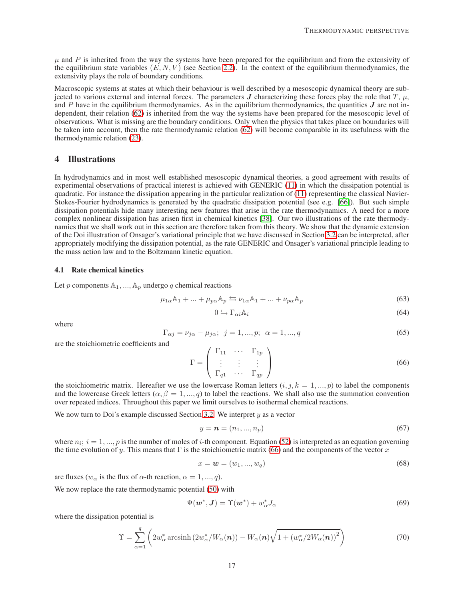$\mu$  and P is inherited from the way the systems have been prepared for the equilibrium and from the extensivity of the equilibrium state variables  $(E, N, V)$  (see Section [2.2\)](#page-6-0). In the context of the equilibrium thermodynamics, the extensivity plays the role of boundary conditions.

Macroscopic systems at states at which their behaviour is well described by a mesoscopic dynamical theory are subjected to various external and internal forces. The parameters J characterizing these forces play the role that  $T$ ,  $\mu$ , and P have in the equilibrium thermodynamics. As in the equilibrium thermodynamics, the quantities  $J$  are not independent, their relation [\(62\)](#page-15-1) is inherited from the way the systems have been prepared for the mesoscopic level of observations. What is missing are the boundary conditions. Only when the physics that takes place on boundaries will be taken into account, then the rate thermodynamic relation [\(62\)](#page-15-1) will become comparable in its usefulness with the thermodynamic relation [\(23\)](#page-7-0).

# <span id="page-16-0"></span>4 Illustrations

In hydrodynamics and in most well established mesoscopic dynamical theories, a good agreement with results of experimental observations of practical interest is achieved with GENERIC [\(11\)](#page-4-3) in which the dissipation potential is quadratic. For instance the dissipation appearing in the particular realization of [\(11\)](#page-4-3) representing the classical Navier-Stokes-Fourier hydrodynamics is generated by the quadratic dissipation potential (see e.g. [\[66\]](#page-22-11)). But such simple dissipation potentials hide many interesting new features that arise in the rate thermodynamics. A need for a more complex nonlinear dissipation has arisen first in chemical kinetics [\[38\]](#page-22-27). Our two illustrations of the rate thermodynamics that we shall work out in this section are therefore taken from this theory. We show that the dynamic extension of the Doi illustration of Onsager's variational principle that we have discussed in Section [3.2](#page-10-0) can be interpreted, after appropriately modifying the dissipation potential, as the rate GENERIC and Onsager's variational principle leading to the mass action law and to the Boltzmann kinetic equation.

## <span id="page-16-1"></span>4.1 Rate chemical kinetics

Let p components  $A_1, ..., A_n$  undergo q chemical reactions

<span id="page-16-3"></span>
$$
\mu_{1\alpha}\mathbb{A}_1 + \dots + \mu_{p\alpha}\mathbb{A}_p \leftrightarrows \nu_{1\alpha}\mathbb{A}_1 + \dots + \nu_{p\alpha}\mathbb{A}_p \tag{63}
$$

$$
0 \leftrightarrows \Gamma_{\alpha i} \mathbb{A}_i \tag{64}
$$

where

$$
\Gamma_{\alpha j} = \nu_{j\alpha} - \mu_{j\alpha}; \ \ j = 1, ..., p; \ \alpha = 1, ..., q
$$
 (65)

are the stoichiometric coefficients and

<span id="page-16-2"></span>
$$
\Gamma = \left( \begin{array}{ccc} \Gamma_{11} & \cdots & \Gamma_{1p} \\ \vdots & \vdots & \vdots \\ \Gamma_{q1} & \cdots & \Gamma_{qp} \end{array} \right) \tag{66}
$$

the stoichiometric matrix. Hereafter we use the lowercase Roman letters  $(i, j, k = 1, ..., p)$  to label the components and the lowercase Greek letters ( $\alpha$ ,  $\beta = 1, ..., q$ ) to label the reactions. We shall also use the summation convention over repeated indices. Throughout this paper we limit ourselves to isothermal chemical reactions.

We now turn to Doi's example discussed Section [3.2.](#page-10-0) We interpret  $y$  as a vector

$$
y = n = (n_1, ..., n_p) \tag{67}
$$

where  $n_i$ ;  $i = 1, ..., p$  is the number of moles of i-th component. Equation [\(52\)](#page-12-0) is interpreted as an equation governing the time evolution of y. This means that  $\Gamma$  is the stoichiometric matrix [\(66\)](#page-16-2) and the components of the vector x

$$
x = \mathbf{w} = (w_1, \dots, w_q) \tag{68}
$$

are fluxes ( $w_{\alpha}$  is the flux of  $\alpha$ -th reaction,  $\alpha = 1, ..., q$ ).

We now replace the rate thermodynamic potential  $(50)$  with

$$
\Psi(\boldsymbol{w}^*, \boldsymbol{J}) = \Upsilon(\boldsymbol{w}^*) + w_\alpha^* J_\alpha \tag{69}
$$

where the dissipation potential is

<span id="page-16-4"></span>
$$
\Upsilon = \sum_{\alpha=1}^{q} \left( 2w_{\alpha}^* \operatorname{arcsinh}\left( 2w_{\alpha}^* / W_{\alpha}(\boldsymbol{n}) \right) - W_{\alpha}(\boldsymbol{n}) \sqrt{1 + \left( w_{\alpha}^* / 2W_{\alpha}(\boldsymbol{n}) \right)^2} \right) \tag{70}
$$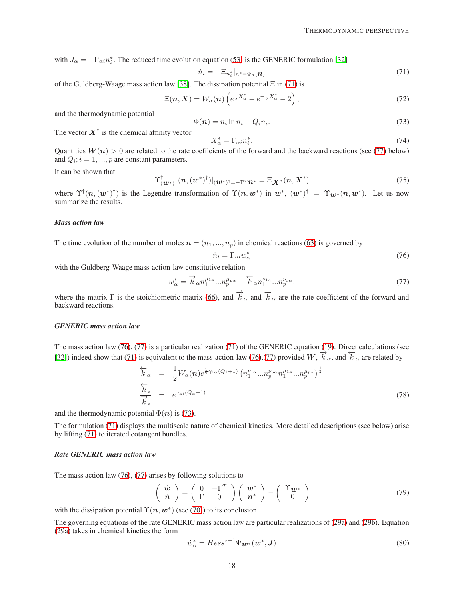with  $J_{\alpha} = -\Gamma_{\alpha i} n_i^*$ . The reduced time evolution equation [\(53\)](#page-12-3) is the GENERIC formulation [\[32\]](#page-21-25)

<span id="page-17-0"></span>
$$
\dot{n}_i = -\Xi_{n_i^*}|_{n^* = \Phi_n(\boldsymbol{n})} \tag{71}
$$

of the Guldberg-Waage mass action law [\[38\]](#page-22-27). The dissipation potential  $\Xi$  in [\(71\)](#page-17-0) is

$$
\Xi(n, X) = W_{\alpha}(n) \left( e^{\frac{1}{2}X_{\alpha}^*} + e^{-\frac{1}{2}X_{\alpha}^*} - 2 \right),\tag{72}
$$

and the thermodynamic potential

<span id="page-17-3"></span>
$$
\Phi(n) = n_i \ln n_i + Q_i n_i. \tag{73}
$$

The vector  $X^*$  is the chemical affinity vector

$$
X_{\alpha}^* = \Gamma_{\alpha i} n_i^*.
$$
\n<sup>(74)</sup>

Quantities  $W(n) > 0$  are related to the rate coefficients of the forward and the backward reactions (see [\(77\)](#page-17-1) below) and  $Q_i$ ;  $i = 1, ..., p$  are constant parameters.

It can be shown that

$$
\Upsilon^{\dagger}_{(\boldsymbol{w}^*)^{\dagger}}(\boldsymbol{n}, (\boldsymbol{w}^*)^{\dagger})|_{(\boldsymbol{w}^*)^{\dagger}=-\Gamma^T \boldsymbol{n}^*} = \Xi_{\boldsymbol{X}^*}(\boldsymbol{n}, \boldsymbol{X}^*)
$$
\n(75)

where  $\Upsilon^{\dagger}(n,(w^*)^{\dagger})$  is the Legendre transformation of  $\Upsilon(n,w^*)$  in  $w^*$ ,  $(w^*)^{\dagger} = \Upsilon_{w^*}(n,w^*)$ . Let us now summarize the results.

## *Mass action law*

The time evolution of the number of moles  $\mathbf{n} = (n_1, ..., n_p)$  in chemical reactions [\(63\)](#page-16-3) is governed by

<span id="page-17-2"></span>
$$
\dot{n}_i = \Gamma_{i\alpha} w^*_{\alpha} \tag{76}
$$

with the Guldberg-Waage mass-action-law constitutive relation

<span id="page-17-1"></span>
$$
w_{\alpha}^* = \overrightarrow{k}_{\alpha} n_1^{\mu_{1\alpha}} \dots n_p^{\mu_{p\alpha}} - \overleftarrow{k}_{\alpha} n_1^{\nu_{1\alpha}} \dots n_p^{\nu_{p\alpha}},\tag{77}
$$

where the matrix  $\Gamma$  is the stoichiometric matrix [\(66\)](#page-16-2), and  $\overrightarrow{k}_{\alpha}$  and  $\overleftarrow{k}_{\alpha}$  are the rate coefficient of the forward and backward reactions.

#### *GENERIC mass action law*

The mass action law [\(76\)](#page-17-2), [\(77\)](#page-17-1) is a particular realization [\(71\)](#page-17-0) of the GENERIC equation [\(19\)](#page-5-6). Direct calculations (see [\[32\]](#page-21-25)) indeed show that [\(71\)](#page-17-0) is equivalent to the mass-action-law [\(76\)](#page-17-2),[\(77\)](#page-17-1) provided  $W$ ,  $\vec{k}_{\alpha}$ , and  $\vec{k}_{\alpha}$  are related by

$$
\frac{\overleftarrow{k}_{\alpha}}{\overrightarrow{k}_{i}} = \frac{1}{2} W_{\alpha}(\boldsymbol{n}) e^{\frac{1}{2}\gamma_{1\alpha}(Q_{1}+1)} \left( n_{1}^{\nu_{1\alpha}} ... n_{p}^{\nu_{p\alpha}} n_{1}^{\mu_{1\alpha}} ... n_{p}^{\mu_{p\alpha}} \right)^{\frac{1}{2}}
$$
\n
$$
\frac{\overleftarrow{k}_{i}}{\overrightarrow{k}_{i}} = e^{\gamma_{\alpha i}(Q_{\alpha}+1)}
$$
\n(78)

and the thermodynamic potential  $\Phi(n)$  is [\(73\)](#page-17-3).

The formulation [\(71\)](#page-17-0) displays the multiscale nature of chemical kinetics. More detailed descriptions (see below) arise by lifting [\(71\)](#page-17-0) to iterated cotangent bundles.

## *Rate GENERIC mass action law*

The mass action law [\(76\)](#page-17-2), [\(77\)](#page-17-1) arises by following solutions to

<span id="page-17-4"></span>
$$
\left(\begin{array}{c}\n\dot{\boldsymbol{w}} \\
\dot{\boldsymbol{n}}\n\end{array}\right) = \left(\begin{array}{cc}\n0 & -\Gamma^T \\
\Gamma & 0\n\end{array}\right) \left(\begin{array}{c}\n\boldsymbol{w}^* \\
\boldsymbol{n}^*\n\end{array}\right) - \left(\begin{array}{c}\n\Upsilon\boldsymbol{w}^* \\
0\n\end{array}\right) \tag{79}
$$

with the dissipation potential  $\Upsilon(n, w^*)$  (see [\(70\)](#page-16-4)) to its conclusion.

The governing equations of the rate GENERIC mass action law are particular realizations of [\(29a\)](#page-9-1) and [\(29b\)](#page-9-3). Equation [\(29a\)](#page-9-1) takes in chemical kinetics the form

$$
\dot{w}_{\alpha}^* = Hess^{*-1}\Psi_{\mathbf{W}^*}(\mathbf{w}^*, \mathbf{J})\tag{80}
$$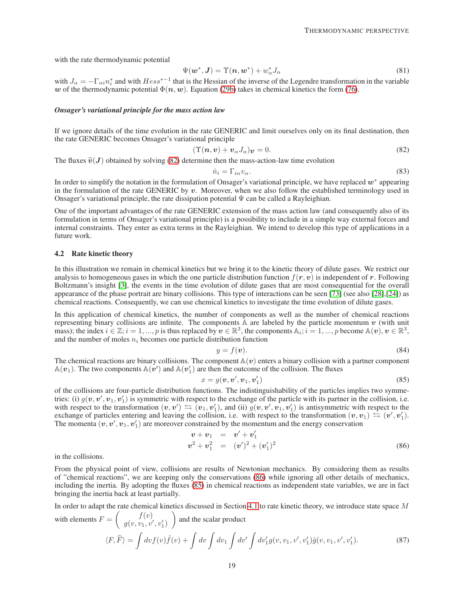with the rate thermodynamic potential

$$
\Psi(\boldsymbol{w}^*, \boldsymbol{J}) = \Upsilon(\boldsymbol{n}, \boldsymbol{w}^*) + w_\alpha^* J_\alpha \tag{81}
$$

with  $J_{\alpha} = -\Gamma_{\alpha i} n_i^*$  and with  $Hess^{*-1}$  that is the Hessian of the inverse of the Legendre transformation in the variable w of the thermodynamic potential  $\Phi(n, w)$ . Equation [\(29b\)](#page-9-3) takes in chemical kinetics the form [\(76\)](#page-17-2).

#### *Onsager's variational principle for the mass action law*

If we ignore details of the time evolution in the rate GENERIC and limit ourselves only on its final destination, then the rate GENERIC becomes Onsager's variational principle

<span id="page-18-1"></span>
$$
(\Upsilon(n,v) + v_{\alpha}J_{\alpha})v = 0. \tag{82}
$$

The fluxes  $\hat{v}(J)$  obtained by solving [\(82\)](#page-18-1) determine then the mass-action-law time evolution

$$
\dot{n}_i = \Gamma_{i\alpha} v_\alpha. \tag{83}
$$

In order to simplify the notation in the formulation of Onsager's variational principle, we have replaced  $w^*$  appearing in the formulation of the rate GENERIC by  $v$ . Moreover, when we also follow the established terminology used in Onsager's variational principle, the rate dissipation potential  $\Psi$  can be called a Rayleighian.

One of the important advantages of the rate GENERIC extension of the mass action law (and consequently also of its formulation in terms of Onsager's variational principle) is a possibility to include in a simple way external forces and internal constraints. They enter as extra terms in the Rayleighian. We intend to develop this type of applications in a future work.

#### <span id="page-18-0"></span>4.2 Rate kinetic theory

In this illustration we remain in chemical kinetics but we bring it to the kinetic theory of dilute gases. We restrict our analysis to homogeneous gases in which the one particle distribution function  $f(r, v)$  is independent of r. Following Boltzmann's insight [\[3\]](#page-20-0), the events in the time evolution of dilute gases that are most consequential for the overall appearance of the phase portrait are binary collisions. This type of interactions can be seen [\[73\]](#page-23-5) (see also [\[28\]](#page-21-9),[\[24\]](#page-21-26)) as chemical reactions. Consequently, we can use chemical kinetics to investigate the time evolution of dilute gases.

In this application of chemical kinetics, the number of components as well as the number of chemical reactions representing binary collisions are infinite. The components  $\hat{A}$  are labeled by the particle momentum v (with unit mass); the index  $i \in \mathbb{Z}$ ;  $i = 1, ..., p$  is thus replaced by  $v \in \mathbb{R}^3$ , the components  $\mathbb{A}_i$ ;  $i = 1, ..., p$  become  $\mathbb{A}(v)$ ,  $v \in \mathbb{R}^3$ , and the number of moles  $n_i$  becomes one particle distribution function

$$
y = f(v). \tag{84}
$$

The chemical reactions are binary collisions. The component  $A(v)$  enters a binary collision with a partner component  $\mathbb{A}(v_1)$ . The two components  $\mathbb{A}(v')$  and  $\mathbb{A}(v'_1)$  are then the outcome of the collision. The fluxes

<span id="page-18-3"></span>
$$
x = g(\boldsymbol{v}, \boldsymbol{v}', \boldsymbol{v}_1, \boldsymbol{v}'_1) \tag{85}
$$

of the collisions are four-particle distribution functions. The indistinguishability of the particles implies two symmetries: (i)  $g(v, v', v_1, v'_1)$  is symmetric with respect to the exchange of the particle with its partner in the collision, i.e. with respect to the transformation  $(v, v') \implies (v_1, v_1')$ , and (ii)  $g(v, v', v_1, v_1')$  is antisymmetric with respect to the exchange of particles entering and leaving the collision, i.e. with respect to the transformation  $(v, v_1) \leftrightarrow (v', v'_1)$ . The momenta  $(v, v', v_1, v'_1)$  are moreover constrained by the momentum and the energy conservation

<span id="page-18-2"></span>
$$
\begin{array}{rcl}\n\mathbf{v} + \mathbf{v}_1 & = & \mathbf{v}' + \mathbf{v}'_1 \\
\mathbf{v}^2 + \mathbf{v}_1^2 & = & (\mathbf{v}')^2 + (\mathbf{v}'_1)^2\n\end{array} \tag{86}
$$

in the collisions.

From the physical point of view, collisions are results of Newtonian mechanics. By considering them as results of "chemical reactions", we are keeping only the conservations [\(86\)](#page-18-2) while ignoring all other details of mechanics, including the inertia. By adopting the fluxes [\(85\)](#page-18-3) in chemical reactions as independent state variables, we are in fact bringing the inertia back at least partially.

In order to adapt the rate chemical kinetics discussed in Section [4.1](#page-16-1) to rate kinetic theory, we introduce state space M with elements  $F =$  $\int$   $f(v)$  $g(v,v_1,v',v_1')$  $\setminus$ and the scalar product

$$
\langle F, \hat{F} \rangle = \int dv f(v) \hat{f}(v) + \int dv \int dv_1 \int dv' \int dv'_1 g(v, v_1, v', v'_1) \hat{g}(v, v_1, v', v'_1).
$$
 (87)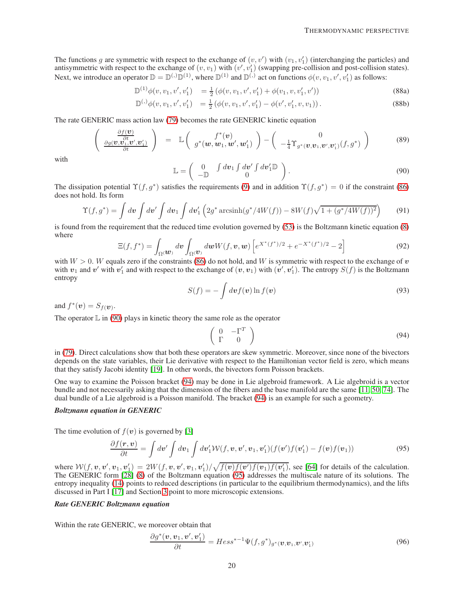The functions g are symmetric with respect to the exchange of  $(v, v')$  with  $(v_1, v'_1)$  (interchanging the particles) and antisymmetric with respect to the exchange of  $(v, v_1)$  with  $(v', v'_1)$  (swapping pre-collision and post-collision states). Next, we introduce an operator  $\mathbb{D} = \mathbb{D}^{(1)} \mathbb{D}^{(1)}$ , where  $\mathbb{D}^{(1)}$  and  $\mathbb{D}^{(1)}$  act on functions  $\phi(v, v_1, v', v'_1)$  as follows:

$$
\mathbb{D}^{(1)}\phi(v,v_1,v',v'_1) = \frac{1}{2} \left( \phi(v,v_1,v',v'_1) + \phi(v_1,v,v'_1,v') \right)
$$
(88a)

$$
\mathbb{D}^{(1)}\phi(v,v_1,v',v'_1) = \frac{1}{2} \left( \phi(v,v_1,v',v'_1) - \phi(v',v'_1,v,v_1) \right). \tag{88b}
$$

The rate GENERIC mass action law [\(79\)](#page-17-4) becomes the rate GENERIC kinetic equation

$$
\begin{pmatrix}\n\frac{\partial f(\boldsymbol{v})}{\partial t} \\
\frac{\partial g(\boldsymbol{v},\boldsymbol{v}_1,\boldsymbol{v}',\boldsymbol{v}_1')}{\partial t}\n\end{pmatrix} = \mathbb{L}\begin{pmatrix}\nf^*(\boldsymbol{v}) \\
g^*(\boldsymbol{w},\boldsymbol{w}_1,\boldsymbol{w}',\boldsymbol{w}_1')\n\end{pmatrix} - \begin{pmatrix}\n0 \\
-\frac{1}{4}\Upsilon_{g^*(\boldsymbol{v},\boldsymbol{v}_1,\boldsymbol{v}',\boldsymbol{v}_1')}(f,g^*)\n\end{pmatrix}
$$
\n(89)

with

<span id="page-19-1"></span>
$$
\mathbb{L} = \begin{pmatrix} 0 & \int d\boldsymbol{v}_1 \int d\boldsymbol{v}' \int d\boldsymbol{v}'_1 \mathbb{D} \\ -\mathbb{D} & 0 \end{pmatrix}.
$$
 (90)

The dissipation potential  $\Upsilon(f, g^*)$  satisfies the requirements [\(9\)](#page-4-5) and in addition  $\Upsilon(f, g^*) = 0$  if the constraint [\(86\)](#page-18-2) does not hold. Its form

<span id="page-19-3"></span>
$$
\Upsilon(f,g^*) = \int dv \int dv' \int dv_1 \int dv'_1 \left(2g^* \operatorname{arcsinh}(g^*/4W(f)) - 8W(f)\sqrt{1 + (g^*/4W(f))^2}\right) \tag{91}
$$

is found from the requirement that the reduced time evolution governed by [\(53\)](#page-12-3) is the Boltzmann kinetic equation [\(8\)](#page-4-1) where

$$
\Xi(f, f^*) = \int_{\Omega} \langle \mathbf{w} \rangle \, d\mathbf{v} \int_{\Omega} \langle \mathbf{v} \rangle \, d\mathbf{w} W(f, \mathbf{v}, \mathbf{w}) \left[ e^{X^*(f^*)/2} + e^{-X^*(f^*)/2} - 2 \right] \tag{92}
$$

with  $W > 0$ . W equals zero if the constraints [\(86\)](#page-18-2) do not hold, and W is symmetric with respect to the exchange of v with  $v_1$  and  $v'$  with  $v'_1$  and with respect to the exchange of  $(v, v_1)$  with  $(v', v'_1)$ . The entropy  $S(f)$  is the Boltzmann entropy

$$
S(f) = -\int dv f(v) \ln f(v)
$$
\n(93)

and  $f^*(v) = S_f(v)$ .

The operator  $\mathbb L$  in [\(90\)](#page-19-1) plays in kinetic theory the same role as the operator

<span id="page-19-2"></span>
$$
\left(\begin{array}{cc} 0 & -\Gamma^T \\ \Gamma & 0 \end{array}\right) \tag{94}
$$

in [\(79\)](#page-17-4). Direct calculations show that both these operators are skew symmetric. Moreover, since none of the bivectors depends on the state variables, their Lie derivative with respect to the Hamiltonian vector field is zero, which means that they satisfy Jacobi identity [\[19\]](#page-21-27). In other words, the bivectors form Poisson brackets.

One way to examine the Poisson bracket [\(94\)](#page-19-2) may be done in Lie algebroid framework. A Lie algebroid is a vector bundle and not necessarily asking that the dimension of the fibers and the base manifold are the same [\[11,](#page-21-28) [50,](#page-22-28) [74\]](#page-23-6). The dual bundle of a Lie algebroid is a Poisson manifold. The bracket [\(94\)](#page-19-2) is an example for such a geometry.

#### *Boltzmann equation in GENERIC*

The time evolution of  $f(v)$  is governed by [\[3\]](#page-20-0)

<span id="page-19-0"></span>
$$
\frac{\partial f(\mathbf{r}, \mathbf{v})}{\partial t} = \int d\mathbf{v}' \int d\mathbf{v}_1 \int d\mathbf{v}'_1 \mathcal{W}(f, \mathbf{v}, \mathbf{v}', \mathbf{v}_1, \mathbf{v}'_1) (f(\mathbf{v}') f(\mathbf{v}'_1) - f(\mathbf{v}) f(\mathbf{v}_1)) \tag{95}
$$

where  $W(f, v, v', v_1, v'_1) = 2W(f, v, v', v_1, v'_1)/\sqrt{f(v)f(v')f(v_1)f(v'_1)}$ , see [\[64\]](#page-22-29) for details of the calculation. The GENERIC form [\[28\]](#page-21-9) [\(8\)](#page-4-1) of the Boltzmann equation [\(95\)](#page-19-0) addresses the multiscale nature of its solutions. The entropy inequality [\(14\)](#page-5-2) points to reduced descriptions (in particular to the equilibrium thermodynamics), and the lifts discussed in Part I [\[17\]](#page-21-2) and Section [3](#page-8-0) point to more microscopic extensions.

#### *Rate GENERIC Boltzmann equation*

Within the rate GENERIC, we moreover obtain that

$$
\frac{\partial g^*(\boldsymbol{v}, \boldsymbol{v}_1, \boldsymbol{v}', \boldsymbol{v}_1')}{\partial t} = Hess^{*-1} \Psi(f, g^*)_{g^*(\boldsymbol{v}, \boldsymbol{v}_1, \boldsymbol{v}', \boldsymbol{v}_1')} \tag{96}
$$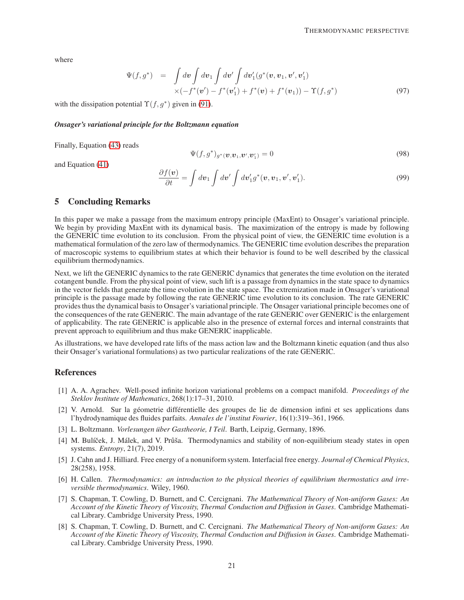where

$$
\Psi(f,g^*) = \int d\mathbf{v} \int d\mathbf{v}_1 \int d\mathbf{v}' \int d\mathbf{v}'_1(g^*(\mathbf{v},\mathbf{v}_1,\mathbf{v}',\mathbf{v}'_1) \times (-f^*(\mathbf{v}') - f^*(\mathbf{v}'_1) + f^*(\mathbf{v}) + f^*(\mathbf{v}_1)) - \Upsilon(f,g^*)
$$
\n(97)

with the dissipation potential  $\Upsilon(f, g^*)$  given in [\(91\)](#page-19-3).

#### *Onsager's variational principle for the Boltzmann equation*

Finally, Equation [\(43\)](#page-11-1) reads

$$
\Psi(f, g^*)_{g^*}(\boldsymbol{v}, \boldsymbol{v}_1, \boldsymbol{v}', \boldsymbol{v}_1') = 0 \tag{98}
$$

and Equation [\(41\)](#page-11-0)

$$
\frac{\partial f(\boldsymbol{v})}{\partial t} = \int d\boldsymbol{v}_1 \int d\boldsymbol{v}' \int d\boldsymbol{v}'_1 g^*(\boldsymbol{v}, \boldsymbol{v}_1, \boldsymbol{v}', \boldsymbol{v}'_1). \tag{99}
$$

## 5 Concluding Remarks

In this paper we make a passage from the maximum entropy principle (MaxEnt) to Onsager's variational principle. We begin by providing MaxEnt with its dynamical basis. The maximization of the entropy is made by following the GENERIC time evolution to its conclusion. From the physical point of view, the GENERIC time evolution is a mathematical formulation of the zero law of thermodynamics. The GENERIC time evolution describes the preparation of macroscopic systems to equilibrium states at which their behavior is found to be well described by the classical equilibrium thermodynamics.

Next, we lift the GENERIC dynamics to the rate GENERIC dynamics that generates the time evolution on the iterated cotangent bundle. From the physical point of view, such lift is a passage from dynamics in the state space to dynamics in the vector fields that generate the time evolution in the state space. The extremization made in Onsager's variational principle is the passage made by following the rate GENERIC time evolution to its conclusion. The rate GENERIC provides thus the dynamical basis to Onsager's variational principle. The Onsager variational principle becomes one of the consequences of the rate GENERIC. The main advantage of the rate GENERIC over GENERIC is the enlargement of applicability. The rate GENERIC is applicable also in the presence of external forces and internal constraints that prevent approach to equilibrium and thus make GENERIC inapplicable.

As illustrations, we have developed rate lifts of the mass action law and the Boltzmann kinetic equation (and thus also their Onsager's variational formulations) as two particular realizations of the rate GENERIC.

# <span id="page-20-7"></span>References

- [1] A. A. Agrachev. Well-posed infinite horizon variational problems on a compact manifold. *Proceedings of the Steklov Institute of Mathematics*, 268(1):17–31, 2010.
- <span id="page-20-3"></span>[2] V. Arnold. Sur la géometrie différentielle des groupes de lie de dimension infini et ses applications dans l'hydrodynamique des fluides parfaits. *Annales de l'institut Fourier*, 16(1):319–361, 1966.
- <span id="page-20-5"></span><span id="page-20-0"></span>[3] L. Boltzmann. *Vorlesungen über Gastheorie, I Teil.* Barth, Leipzig, Germany, 1896.
- [4] M. Bulíček, J. Málek, and V. Průša. Thermodynamics and stability of non-equilibrium steady states in open systems. *Entropy*, 21(7), 2019.
- <span id="page-20-4"></span>[5] J. Cahn and J. Hilliard. Free energy of a nonuniform system. Interfacial free energy. *Journal of Chemical Physics*, 28(258), 1958.
- <span id="page-20-1"></span>[6] H. Callen. *Thermodynamics: an introduction to the physical theories of equilibrium thermostatics and irreversible thermodynamics*. Wiley, 1960.
- <span id="page-20-2"></span>[7] S. Chapman, T. Cowling, D. Burnett, and C. Cercignani. *The Mathematical Theory of Non-uniform Gases: An Account of the Kinetic Theory of Viscosity, Thermal Conduction and Diffusion in Gases*. Cambridge Mathematical Library. Cambridge University Press, 1990.
- <span id="page-20-6"></span>[8] S. Chapman, T. Cowling, D. Burnett, and C. Cercignani. *The Mathematical Theory of Non-uniform Gases: An Account of the Kinetic Theory of Viscosity, Thermal Conduction and Diffusion in Gases*. Cambridge Mathematical Library. Cambridge University Press, 1990.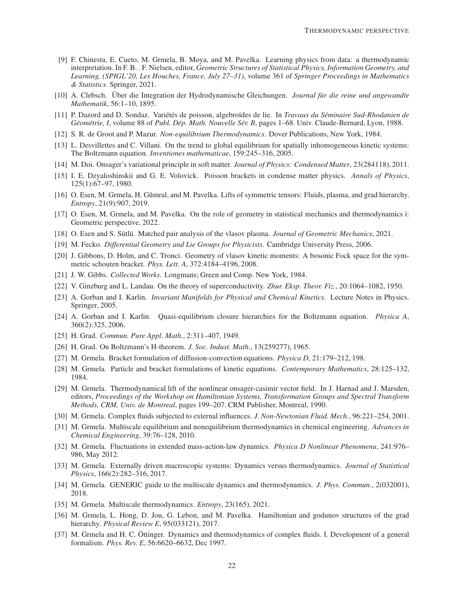- <span id="page-21-1"></span>[9] F. Chinesta, E. Cueto, M. Grmela, B. Moya, and M. Pavelka. Learning physics from data: a thermodynamic interpretation. In F. B. . F. Nielsen, editor, *Geometric Structures of Statistical Physics, Information Geometry, and Learning, (SPIGL'20, Les Houches, France, July 27–31)*, volume 361 of *Springer Proceedings in Mathematics & Statistics*. Springer, 2021.
- <span id="page-21-6"></span>[10] A. Clebsch. Uber die Integration der Hydrodynamische Gleichungen. ¨ *Journal fur die reine und angewandte ¨ Mathematik*, 56:1–10, 1895.
- <span id="page-21-28"></span>[11] P. Dazord and D. Sondaz. Vari´et´es de poisson, algebro¨ıdes de lie. In *Travaux du Seminaire Sud-Rhodanien de ´ Geom ´ etrie, I ´* , volume 88 of *Publ. Dep. Math. Nouvelle S ´ er. B ´* , pages 1–68. Univ. Claude-Bernard, Lyon, 1988.
- <span id="page-21-17"></span><span id="page-21-16"></span>[12] S. R. de Groot and P. Mazur. *Non-equilibrium Thermodynamics*. Dover Publications, New York, 1984.
- [13] L. Desvillettes and C. Villani. On the trend to global equilibrium for spatially inhomogeneous kinetic systems: The Boltzmann equation. *Inventiones mathematicae*, 159:245–316, 2005.
- <span id="page-21-8"></span><span id="page-21-4"></span>[14] M. Doi. Onsager's variational principle in soft matter. *Journal of Physics: Condensed Matter*, 23(284118), 2011.
- [15] I. E. Dzyaloshinskii and G. E. Volovick. Poisson brackets in condense matter physics. *Annals of Physics*, 125(1):67–97, 1980.
- <span id="page-21-14"></span>[16] O. Esen, M. Grmela, H. Gŭmral, and M. Pavelka. Lifts of symmetric tensors: Fluids, plasma, and grad hierarchy. *Entropy*, 21(9):907, 2019.
- <span id="page-21-2"></span>[17] O. Esen, M. Grmela, and M. Pavelka. On the role of geometry in statistical mechanics and thermodynamics i: Geometric perspective, 2022.
- <span id="page-21-27"></span><span id="page-21-22"></span>[18] O. Esen and S. Sütlü. Matched pair analysis of the vlasov plasma. *Journal of Geometric Mechanics*, 2021.
- <span id="page-21-21"></span>[19] M. Fecko. *Differential Geometry and Lie Groups for Physicists*. Cambridge University Press, 2006.
- [20] J. Gibbons, D. Holm, and C. Tronci. Geometry of vlasov kinetic moments: A bosonic Fock space for the symmetric schouten bracket. *Phys. Lett. A*, 372:4184–4196, 2008.
- <span id="page-21-7"></span><span id="page-21-3"></span>[21] J. W. Gibbs. *Collected Works*. Longmans; Green and Comp. New York, 1984.
- <span id="page-21-5"></span>[22] V. Ginzburg and L. Landau. On the theory of superconductivity. *Zhur. Eksp. Theor. Fiz.*, 20:1064–1082, 1950.
- [23] A. Gorban and I. Karlin. *Invariant Manifolds for Physical and Chemical Kinetics*. Lecture Notes in Physics. Springer, 2005.
- <span id="page-21-26"></span>[24] A. Gorban and I. Karlin. Quasi-equilibrium closure hierarchies for the Boltzmann equation. *Physica A*, 360(2):325, 2006.
- <span id="page-21-18"></span><span id="page-21-15"></span>[25] H. Grad. *Commun. Pure Appl. Math.*, 2:311–407, 1949.
- <span id="page-21-10"></span>[26] H. Grad. On Boltzmann's H-theorem. *J. Soc. Indust. Math.*, 13(259277), 1965.
- <span id="page-21-9"></span>[27] M. Grmela. Bracket formulation of diffusion-convection equations. *Physica D*, 21:179–212, 198.
- [28] M. Grmela. Particle and bracket formulations of kinetic equations. *Contemporary Mathematics*, 28:125–132, 1984.
- <span id="page-21-13"></span>[29] M. Grmela. Thermodynamical lift of the nonlinear onsager-casimir vector field. In J. Harnad and J. Marsden, editors, *Proceedings of the Workshop on Hamiltonian Systems, Transformation Groups and Spectral Transform Methods, CRM, Univ. de Montreal*, pages 199–207. CRM Publisher, Montreal, 1990.
- <span id="page-21-23"></span><span id="page-21-0"></span>[30] M. Grmela. Complex fluids subjected to external influences. *J. Non-Newtonian Fluid. Mech.*, 96:221–254, 2001.
- [31] M. Grmela. Multiscale equilibrium and nonequilibrium thermodynamics in chemical engineering. *Advances in Chemical Engineering*, 39:76–128, 2010.
- <span id="page-21-25"></span>[32] M. Grmela. Fluctuations in extended mass-action-law dynamics. *Physica D Nonlinear Phenomena*, 241:976– 986, May 2012.
- <span id="page-21-19"></span>[33] M. Grmela. Externally driven macroscopic systems: Dynamics versus thermodynamics. *Journal of Statistical Physics*, 166(2):282–316, 2017.
- <span id="page-21-12"></span>[34] M. Grmela. GENERIC guide to the multiscale dynamics and thermodynamics. *J. Phys. Commun.*, 2(032001), 2018.
- <span id="page-21-24"></span><span id="page-21-20"></span>[35] M. Grmela. Multiscale thermodynamics. *Entropy*, 23(165), 2021.
- [36] M. Grmela, L. Hong, D. Jou, G. Lebon, and M. Pavelka. Hamiltonian and godunov structures of the grad hierarchy. *Physical Review E*, 95(033121), 2017.
- <span id="page-21-11"></span>[37] M. Grmela and H. C. Ottinger. Dynamics and thermodynamics of complex fluids. I. Development of a general formalism. *Phys. Rev. E*, 56:6620–6632, Dec 1997.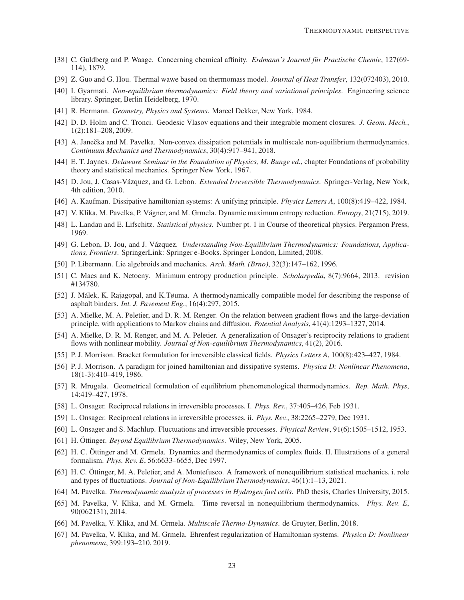- <span id="page-22-27"></span>[38] C. Guldberg and P. Waage. Concerning chemical affinity. *Erdmann's Journal für Practische Chemie*, 127(69-114), 1879.
- <span id="page-22-4"></span><span id="page-22-3"></span>[39] Z. Guo and G. Hou. Thermal wawe based on thermomass model. *Journal of Heat Transfer*, 132(072403), 2010.
- [40] I. Gyarmati. *Non-equilibrium thermodynamics: Field theory and variational principles*. Engineering science library. Springer, Berlin Heidelberg, 1970.
- <span id="page-22-26"></span><span id="page-22-0"></span>[41] R. Hermann. *Geometry, Physics and Systems*. Marcel Dekker, New York, 1984.
- [42] D. D. Holm and C. Tronci. Geodesic Vlasov equations and their integrable moment closures. *J. Geom. Mech.*, 1(2):181–208, 2009.
- <span id="page-22-18"></span>[43] A. Janečka and M. Pavelka. Non-convex dissipation potentials in multiscale non-equilibrium thermodynamics. *Continuum Mechanics and Thermodynamics*, 30(4):917–941, 2018.
- <span id="page-22-15"></span>[44] E. T. Jaynes. *Delaware Seminar in the Foundation of Physics, M. Bunge ed.*, chapter Foundations of probability theory and statistical mechanics. Springer New York, 1967.
- <span id="page-22-16"></span><span id="page-22-8"></span>[45] D. Jou, J. Casas-V´azquez, and G. Lebon. *Extended Irreversible Thermodynamics*. Springer-Verlag, New York, 4th edition, 2010.
- <span id="page-22-20"></span>[46] A. Kaufman. Dissipative hamiltonian systems: A unifying principle. *Physics Letters A*, 100(8):419–422, 1984.
- <span id="page-22-6"></span>[47] V. Klika, M. Pavelka, P. V´agner, and M. Grmela. Dynamic maximum entropy reduction. *Entropy*, 21(715), 2019.
- <span id="page-22-17"></span>[48] L. Landau and E. Lifschitz. *Statistical physics*. Number pt. 1 in Course of theoretical physics. Pergamon Press, 1969.
- [49] G. Lebon, D. Jou, and J. Vázquez. *Understanding Non-Equilibrium Thermodynamics: Foundations, Applications, Frontiers*. SpringerLink: Springer e-Books. Springer London, Limited, 2008.
- <span id="page-22-28"></span><span id="page-22-24"></span>[50] P. Libermann. Lie algebroids and mechanics. *Arch. Math. (Brno)*, 32(3):147–162, 1996.
- <span id="page-22-23"></span>[51] C. Maes and K. Netocny. Minimum entropy production principle. *Scholarpedia*, 8(7):9664, 2013. revision #134780.
- [52] J. Málek, K. Rajagopal, and K.Tøuma. A thermodynamically compatible model for describing the response of asphalt binders. *Int. J. Pavement Eng.*, 16(4):297, 2015.
- <span id="page-22-12"></span>[53] A. Mielke, M. A. Peletier, and D. R. M. Renger. On the relation between gradient flows and the large-deviation principle, with applications to Markov chains and diffusion. *Potential Analysis*, 41(4):1293–1327, 2014.
- <span id="page-22-13"></span>[54] A. Mielke, D. R. M. Renger, and M. A. Peletier. A generalization of Onsager's reciprocity relations to gradient flows with nonlinear mobility. *Journal of Non-equilibrium Thermodynamics*, 41(2), 2016.
- <span id="page-22-10"></span><span id="page-22-7"></span>[55] P. J. Morrison. Bracket formulation for irreversible classical fields. *Physics Letters A*, 100(8):423–427, 1984.
- [56] P. J. Morrison. A paradigm for joined hamiltonian and dissipative systems. *Physica D: Nonlinear Phenomena*, 18(1-3):410–419, 1986.
- <span id="page-22-1"></span>[57] R. Mrugala. Geometrical formulation of equilibrium phenomenological thermodynamics. *Rep. Math. Phys*, 14:419–427, 1978.
- <span id="page-22-5"></span><span id="page-22-2"></span>[58] L. Onsager. Reciprocal relations in irreversible processes. I. *Phys. Rev.*, 37:405–426, Feb 1931.
- <span id="page-22-21"></span>[59] L. Onsager. Reciprocal relations in irreversible processes. ii. *Phys. Rev.*, 38:2265–2279, Dec 1931.
- <span id="page-22-14"></span>[60] L. Onsager and S. Machlup. Fluctuations and irreversible processes. *Physical Review*, 91(6):1505–1512, 1953.
- <span id="page-22-9"></span>[61] H. Öttinger. *Beyond Equilibrium Thermodynamics*. Wiley, New York, 2005.
- [62] H. C. Öttinger and M. Grmela. Dynamics and thermodynamics of complex fluids. II. Illustrations of a general formalism. *Phys. Rev. E*, 56:6633–6655, Dec 1997.
- <span id="page-22-22"></span>[63] H. C. Öttinger, M. A. Peletier, and A. Montefusco. A framework of nonequilibrium statistical mechanics. i. role and types of fluctuations. *Journal of Non-Equilibrium Thermodynamics*, 46(1):1–13, 2021.
- <span id="page-22-29"></span><span id="page-22-19"></span>[64] M. Pavelka. *Thermodynamic analysis of processes in Hydrogen fuel cells*. PhD thesis, Charles University, 2015.
- [65] M. Pavelka, V. Klika, and M. Grmela. Time reversal in nonequilibrium thermodynamics. *Phys. Rev. E*, 90(062131), 2014.
- <span id="page-22-25"></span><span id="page-22-11"></span>[66] M. Pavelka, V. Klika, and M. Grmela. *Multiscale Thermo-Dynamics*. de Gruyter, Berlin, 2018.
- [67] M. Pavelka, V. Klika, and M. Grmela. Ehrenfest regularization of Hamiltonian systems. *Physica D: Nonlinear phenomena*, 399:193–210, 2019.